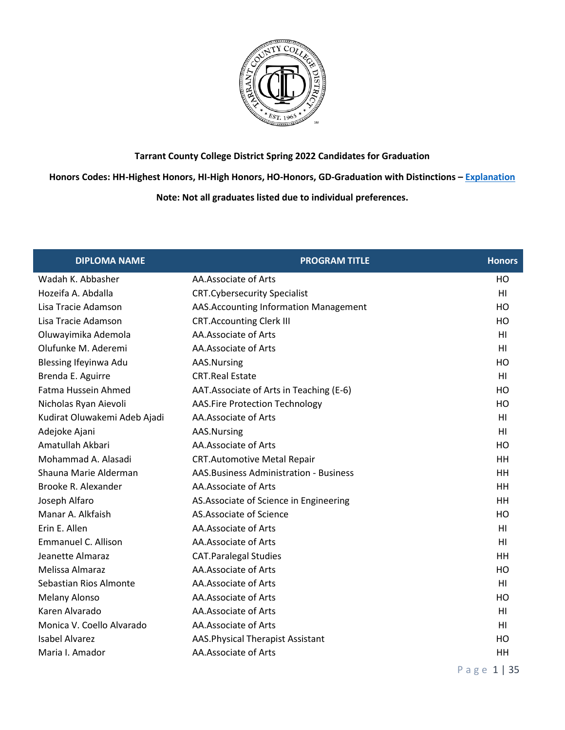

**Honors Codes: HH-Highest Honors, HI-High Honors, HO-Honors, GD-Graduation with Distinctions – [Explanation](https://www.tccd.edu/academics/graduation/graduates/graduation-honors/)**

| <b>DIPLOMA NAME</b>          | <b>PROGRAM TITLE</b>                           | <b>Honors</b>  |
|------------------------------|------------------------------------------------|----------------|
| Wadah K. Abbasher            | AA.Associate of Arts                           | НO             |
| Hozeifa A. Abdalla           | <b>CRT.Cybersecurity Specialist</b>            | H <sub>l</sub> |
| Lisa Tracie Adamson          | AAS. Accounting Information Management         | HO             |
| Lisa Tracie Adamson          | <b>CRT.Accounting Clerk III</b>                | HO             |
| Oluwayimika Ademola          | AA.Associate of Arts                           | H <sub>l</sub> |
| Olufunke M. Aderemi          | AA.Associate of Arts                           | H <sub>l</sub> |
| Blessing Ifeyinwa Adu        | AAS.Nursing                                    | HO             |
| Brenda E. Aguirre            | <b>CRT.Real Estate</b>                         | HI             |
| Fatma Hussein Ahmed          | AAT. Associate of Arts in Teaching (E-6)       | HO             |
| Nicholas Ryan Aievoli        | <b>AAS.Fire Protection Technology</b>          | HO             |
| Kudirat Oluwakemi Adeb Ajadi | AA.Associate of Arts                           | H <sub>l</sub> |
| Adejoke Ajani                | AAS.Nursing                                    | HI             |
| Amatullah Akbari             | AA.Associate of Arts                           | HO             |
| Mohammad A. Alasadi          | <b>CRT.Automotive Metal Repair</b>             | HH             |
| Shauna Marie Alderman        | <b>AAS. Business Administration - Business</b> | HH             |
| Brooke R. Alexander          | AA.Associate of Arts                           | HH             |
| Joseph Alfaro                | AS. Associate of Science in Engineering        | HH             |
| Manar A. Alkfaish            | AS.Associate of Science                        | HO             |
| Erin E. Allen                | AA.Associate of Arts                           | HI             |
| <b>Emmanuel C. Allison</b>   | AA.Associate of Arts                           | H <sub>l</sub> |
| Jeanette Almaraz             | <b>CAT.Paralegal Studies</b>                   | HH             |
| Melissa Almaraz              | AA.Associate of Arts                           | HO             |
| Sebastian Rios Almonte       | AA.Associate of Arts                           | H <sub>l</sub> |
| <b>Melany Alonso</b>         | AA.Associate of Arts                           | HO             |
| Karen Alvarado               | AA.Associate of Arts                           | H <sub>l</sub> |
| Monica V. Coello Alvarado    | AA.Associate of Arts                           | HI             |
| <b>Isabel Alvarez</b>        | AAS. Physical Therapist Assistant              | HO             |
| Maria I. Amador              | AA.Associate of Arts                           | HH             |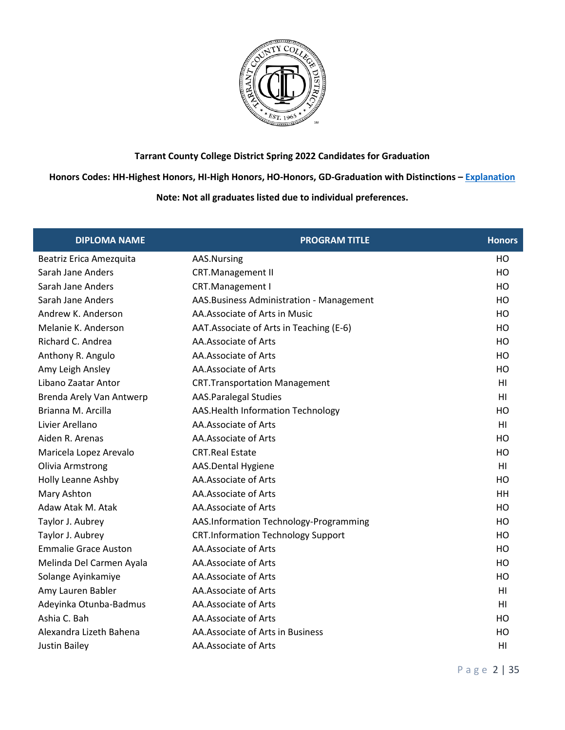

**Honors Codes: HH-Highest Honors, HI-High Honors, HO-Honors, GD-Graduation with Distinctions – [Explanation](https://www.tccd.edu/academics/graduation/graduates/graduation-honors/)**

| <b>DIPLOMA NAME</b>         | <b>PROGRAM TITLE</b>                      | <b>Honors</b>  |
|-----------------------------|-------------------------------------------|----------------|
| Beatriz Erica Amezquita     | AAS.Nursing                               | HO             |
| Sarah Jane Anders           | <b>CRT.Management II</b>                  | HO             |
| Sarah Jane Anders           | CRT.Management I                          | HO             |
| Sarah Jane Anders           | AAS. Business Administration - Management | HO             |
| Andrew K. Anderson          | AA.Associate of Arts in Music             | HO             |
| Melanie K. Anderson         | AAT. Associate of Arts in Teaching (E-6)  | HO             |
| Richard C. Andrea           | AA.Associate of Arts                      | HO             |
| Anthony R. Angulo           | AA.Associate of Arts                      | HO             |
| Amy Leigh Ansley            | AA.Associate of Arts                      | HO             |
| Libano Zaatar Antor         | <b>CRT.Transportation Management</b>      | H <sub>l</sub> |
| Brenda Arely Van Antwerp    | <b>AAS.Paralegal Studies</b>              | HI             |
| Brianna M. Arcilla          | AAS. Health Information Technology        | HO             |
| Livier Arellano             | AA.Associate of Arts                      | H <sub>1</sub> |
| Aiden R. Arenas             | AA.Associate of Arts                      | HO             |
| Maricela Lopez Arevalo      | <b>CRT.Real Estate</b>                    | HO             |
| Olivia Armstrong            | AAS.Dental Hygiene                        | H <sub>1</sub> |
| Holly Leanne Ashby          | AA.Associate of Arts                      | HO             |
| Mary Ashton                 | AA.Associate of Arts                      | HH             |
| Adaw Atak M. Atak           | AA.Associate of Arts                      | HO             |
| Taylor J. Aubrey            | AAS.Information Technology-Programming    | HO             |
| Taylor J. Aubrey            | <b>CRT.Information Technology Support</b> | HO             |
| <b>Emmalie Grace Auston</b> | AA.Associate of Arts                      | HO             |
| Melinda Del Carmen Ayala    | AA.Associate of Arts                      | H <sub>O</sub> |
| Solange Ayinkamiye          | AA.Associate of Arts                      | HO             |
| Amy Lauren Babler           | AA.Associate of Arts                      | H <sub>l</sub> |
| Adeyinka Otunba-Badmus      | AA.Associate of Arts                      | HI             |
| Ashia C. Bah                | AA.Associate of Arts                      | HO             |
| Alexandra Lizeth Bahena     | AA.Associate of Arts in Business          | HO             |
| <b>Justin Bailey</b>        | AA.Associate of Arts                      | HI             |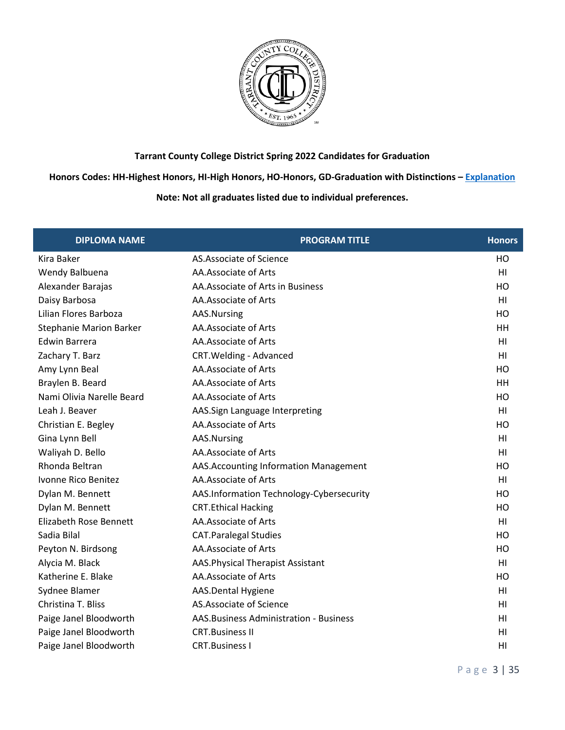

**Honors Codes: HH-Highest Honors, HI-High Honors, HO-Honors, GD-Graduation with Distinctions – [Explanation](https://www.tccd.edu/academics/graduation/graduates/graduation-honors/)**

| <b>DIPLOMA NAME</b>            | <b>PROGRAM TITLE</b>                     | <b>Honors</b>  |
|--------------------------------|------------------------------------------|----------------|
| Kira Baker                     | AS.Associate of Science                  | HO             |
| Wendy Balbuena                 | AA.Associate of Arts                     | HI             |
| Alexander Barajas              | AA. Associate of Arts in Business        | HO             |
| Daisy Barbosa                  | AA.Associate of Arts                     | HI             |
| Lilian Flores Barboza          | AAS.Nursing                              | HO             |
| <b>Stephanie Marion Barker</b> | AA.Associate of Arts                     | HH             |
| <b>Edwin Barrera</b>           | AA.Associate of Arts                     | H1             |
| Zachary T. Barz                | CRT. Welding - Advanced                  | H <sub>1</sub> |
| Amy Lynn Beal                  | AA.Associate of Arts                     | HO             |
| Braylen B. Beard               | AA.Associate of Arts                     | HH             |
| Nami Olivia Narelle Beard      | AA.Associate of Arts                     | HO             |
| Leah J. Beaver                 | AAS.Sign Language Interpreting           | HI             |
| Christian E. Begley            | AA.Associate of Arts                     | HO             |
| Gina Lynn Bell                 | AAS.Nursing                              | H <sub>1</sub> |
| Waliyah D. Bello               | AA.Associate of Arts                     | HI             |
| Rhonda Beltran                 | AAS. Accounting Information Management   | HO             |
| Ivonne Rico Benitez            | AA.Associate of Arts                     | HI             |
| Dylan M. Bennett               | AAS.Information Technology-Cybersecurity | HO             |
| Dylan M. Bennett               | <b>CRT.Ethical Hacking</b>               | HO             |
| Elizabeth Rose Bennett         | AA.Associate of Arts                     | H1             |
| Sadia Bilal                    | <b>CAT.Paralegal Studies</b>             | HO             |
| Peyton N. Birdsong             | AA.Associate of Arts                     | HO             |
| Alycia M. Black                | AAS. Physical Therapist Assistant        | HI             |
| Katherine E. Blake             | AA.Associate of Arts                     | HO             |
| Sydnee Blamer                  | AAS.Dental Hygiene                       | HI             |
| Christina T. Bliss             | AS.Associate of Science                  | HI             |
| Paige Janel Bloodworth         | AAS. Business Administration - Business  | HI             |
| Paige Janel Bloodworth         | <b>CRT.Business II</b>                   | HI             |
| Paige Janel Bloodworth         | <b>CRT.Business I</b>                    | HI             |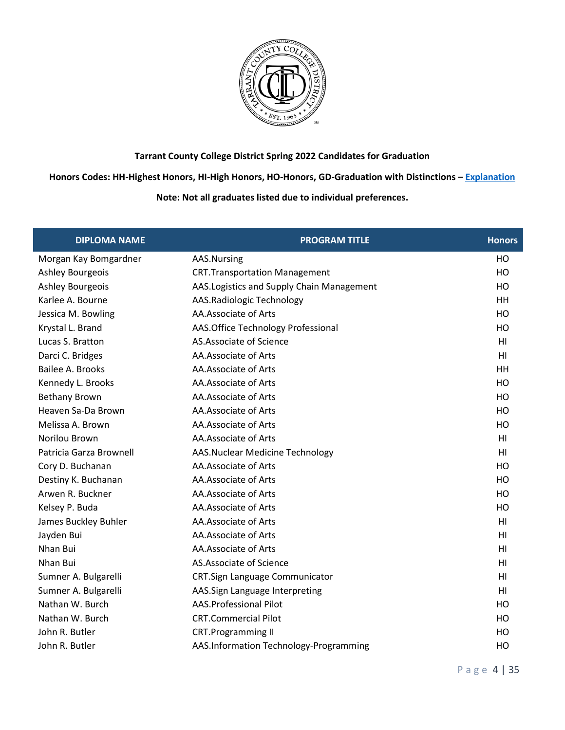

**Honors Codes: HH-Highest Honors, HI-High Honors, HO-Honors, GD-Graduation with Distinctions – [Explanation](https://www.tccd.edu/academics/graduation/graduates/graduation-honors/)**

| <b>DIPLOMA NAME</b>     | <b>PROGRAM TITLE</b>                       | <b>Honors</b>  |
|-------------------------|--------------------------------------------|----------------|
| Morgan Kay Bomgardner   | AAS.Nursing                                | HO             |
| Ashley Bourgeois        | <b>CRT.Transportation Management</b>       | HO             |
| Ashley Bourgeois        | AAS. Logistics and Supply Chain Management | HO             |
| Karlee A. Bourne        | AAS.Radiologic Technology                  | <b>HH</b>      |
| Jessica M. Bowling      | AA.Associate of Arts                       | HO             |
| Krystal L. Brand        | AAS. Office Technology Professional        | HO             |
| Lucas S. Bratton        | AS.Associate of Science                    | H <sub>l</sub> |
| Darci C. Bridges        | AA.Associate of Arts                       | H <sub>l</sub> |
| Bailee A. Brooks        | AA.Associate of Arts                       | <b>HH</b>      |
| Kennedy L. Brooks       | AA.Associate of Arts                       | HO             |
| <b>Bethany Brown</b>    | AA.Associate of Arts                       | HO             |
| Heaven Sa-Da Brown      | AA.Associate of Arts                       | HO             |
| Melissa A. Brown        | AA.Associate of Arts                       | HO             |
| Norilou Brown           | AA.Associate of Arts                       | H <sub>l</sub> |
| Patricia Garza Brownell | AAS.Nuclear Medicine Technology            | H <sub>l</sub> |
| Cory D. Buchanan        | AA.Associate of Arts                       | HO             |
| Destiny K. Buchanan     | AA.Associate of Arts                       | HO             |
| Arwen R. Buckner        | AA.Associate of Arts                       | HO             |
| Kelsey P. Buda          | AA.Associate of Arts                       | HO             |
| James Buckley Buhler    | AA.Associate of Arts                       | H1             |
| Jayden Bui              | AA.Associate of Arts                       | HI             |
| Nhan Bui                | AA.Associate of Arts                       | HI             |
| Nhan Bui                | AS.Associate of Science                    | HI             |
| Sumner A. Bulgarelli    | CRT.Sign Language Communicator             | H1             |
| Sumner A. Bulgarelli    | AAS.Sign Language Interpreting             | H <sub>l</sub> |
| Nathan W. Burch         | AAS.Professional Pilot                     | HO             |
| Nathan W. Burch         | <b>CRT.Commercial Pilot</b>                | HO             |
| John R. Butler          | <b>CRT.Programming II</b>                  | HO             |
| John R. Butler          | AAS.Information Technology-Programming     | HO             |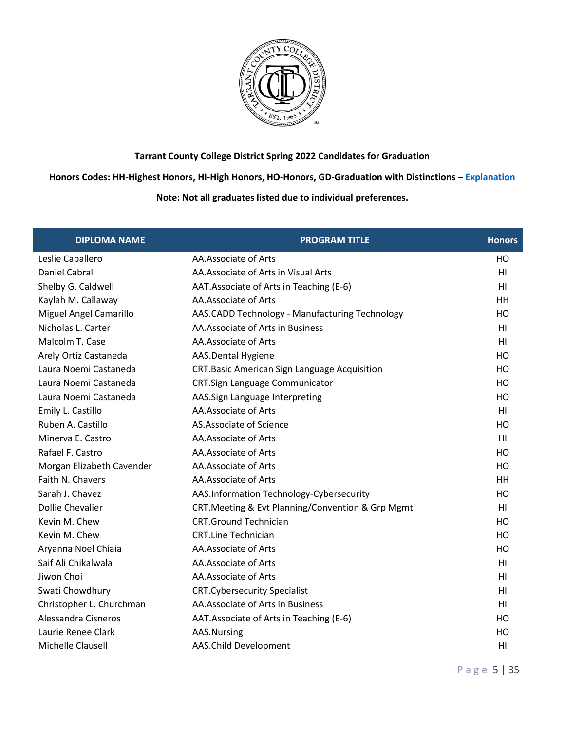

**Honors Codes: HH-Highest Honors, HI-High Honors, HO-Honors, GD-Graduation with Distinctions – [Explanation](https://www.tccd.edu/academics/graduation/graduates/graduation-honors/)**

| <b>DIPLOMA NAME</b>       | <b>PROGRAM TITLE</b>                                | <b>Honors</b>  |
|---------------------------|-----------------------------------------------------|----------------|
| Leslie Caballero          | AA.Associate of Arts                                | HO             |
| Daniel Cabral             | AA. Associate of Arts in Visual Arts                | H <sub>l</sub> |
| Shelby G. Caldwell        | AAT. Associate of Arts in Teaching (E-6)            | H1             |
| Kaylah M. Callaway        | AA.Associate of Arts                                | HH             |
| Miguel Angel Camarillo    | AAS.CADD Technology - Manufacturing Technology      | HO             |
| Nicholas L. Carter        | AA.Associate of Arts in Business                    | HI             |
| Malcolm T. Case           | AA.Associate of Arts                                | H1             |
| Arely Ortiz Castaneda     | AAS.Dental Hygiene                                  | HO             |
| Laura Noemi Castaneda     | <b>CRT.Basic American Sign Language Acquisition</b> | HO             |
| Laura Noemi Castaneda     | CRT.Sign Language Communicator                      | HO             |
| Laura Noemi Castaneda     | AAS.Sign Language Interpreting                      | HO             |
| Emily L. Castillo         | AA.Associate of Arts                                | HI             |
| Ruben A. Castillo         | AS.Associate of Science                             | HO             |
| Minerva E. Castro         | AA.Associate of Arts                                | HI             |
| Rafael F. Castro          | AA.Associate of Arts                                | HO             |
| Morgan Elizabeth Cavender | AA.Associate of Arts                                | HO             |
| Faith N. Chavers          | AA.Associate of Arts                                | HH             |
| Sarah J. Chavez           | AAS.Information Technology-Cybersecurity            | HO             |
| <b>Dollie Chevalier</b>   | CRT. Meeting & Evt Planning/Convention & Grp Mgmt   | H1             |
| Kevin M. Chew             | <b>CRT.Ground Technician</b>                        | HO             |
| Kevin M. Chew             | <b>CRT.Line Technician</b>                          | HO             |
| Aryanna Noel Chiaia       | AA.Associate of Arts                                | HO             |
| Saif Ali Chikalwala       | AA.Associate of Arts                                | H <sub>l</sub> |
| Jiwon Choi                | AA.Associate of Arts                                | HI             |
| Swati Chowdhury           | <b>CRT.Cybersecurity Specialist</b>                 | HI             |
| Christopher L. Churchman  | AA.Associate of Arts in Business                    | HI             |
| Alessandra Cisneros       | AAT.Associate of Arts in Teaching (E-6)             | HO             |
| Laurie Renee Clark        | AAS.Nursing                                         | HO             |
| Michelle Clausell         | AAS.Child Development                               | H1             |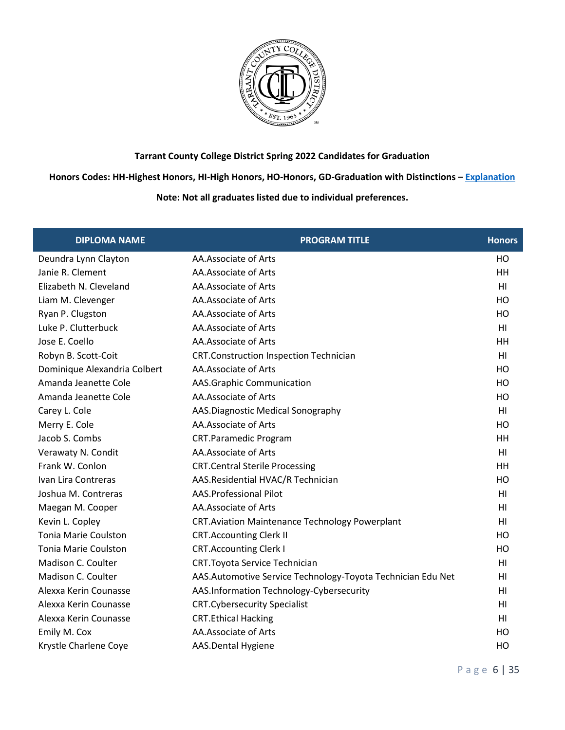

**Honors Codes: HH-Highest Honors, HI-High Honors, HO-Honors, GD-Graduation with Distinctions – [Explanation](https://www.tccd.edu/academics/graduation/graduates/graduation-honors/)**

| <b>DIPLOMA NAME</b>          | <b>PROGRAM TITLE</b>                                         | <b>Honors</b>  |
|------------------------------|--------------------------------------------------------------|----------------|
| Deundra Lynn Clayton         | AA.Associate of Arts                                         | HO             |
| Janie R. Clement             | AA.Associate of Arts                                         | HH             |
| Elizabeth N. Cleveland       | AA.Associate of Arts                                         | HI             |
| Liam M. Clevenger            | AA.Associate of Arts                                         | HO             |
| Ryan P. Clugston             | AA.Associate of Arts                                         | HO             |
| Luke P. Clutterbuck          | AA.Associate of Arts                                         | HI             |
| Jose E. Coello               | AA.Associate of Arts                                         | HH             |
| Robyn B. Scott-Coit          | <b>CRT.Construction Inspection Technician</b>                | HI             |
| Dominique Alexandria Colbert | AA.Associate of Arts                                         | HO             |
| Amanda Jeanette Cole         | AAS.Graphic Communication                                    | HO             |
| Amanda Jeanette Cole         | AA.Associate of Arts                                         | HO             |
| Carey L. Cole                | AAS.Diagnostic Medical Sonography                            | HI             |
| Merry E. Cole                | AA.Associate of Arts                                         | HO             |
| Jacob S. Combs               | <b>CRT.Paramedic Program</b>                                 | HH             |
| Verawaty N. Condit           | AA.Associate of Arts                                         | H <sub>l</sub> |
| Frank W. Conlon              | <b>CRT.Central Sterile Processing</b>                        | HH             |
| Ivan Lira Contreras          | AAS.Residential HVAC/R Technician                            | HO             |
| Joshua M. Contreras          | <b>AAS.Professional Pilot</b>                                | H <sub>l</sub> |
| Maegan M. Cooper             | AA.Associate of Arts                                         | HI             |
| Kevin L. Copley              | <b>CRT.Aviation Maintenance Technology Powerplant</b>        | H <sub>l</sub> |
| <b>Tonia Marie Coulston</b>  | <b>CRT.Accounting Clerk II</b>                               | HO             |
| <b>Tonia Marie Coulston</b>  | <b>CRT.Accounting Clerk I</b>                                | HO             |
| Madison C. Coulter           | CRT. Toyota Service Technician                               | H <sub>l</sub> |
| Madison C. Coulter           | AAS. Automotive Service Technology-Toyota Technician Edu Net | H1             |
| Alexxa Kerin Counasse        | AAS.Information Technology-Cybersecurity                     | H <sub>l</sub> |
| Alexxa Kerin Counasse        | <b>CRT.Cybersecurity Specialist</b>                          | HI             |
| Alexxa Kerin Counasse        | <b>CRT.Ethical Hacking</b>                                   | H <sub>l</sub> |
| Emily M. Cox                 | AA.Associate of Arts                                         | HO             |
| Krystle Charlene Coye        | AAS.Dental Hygiene                                           | HO             |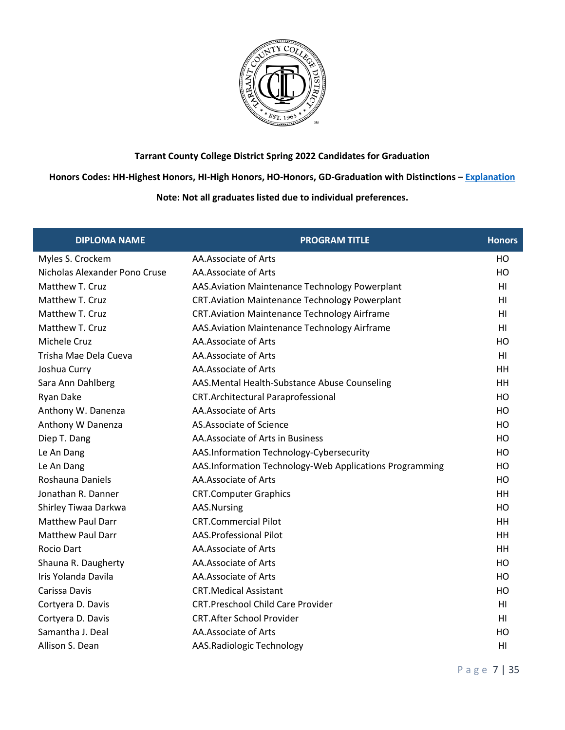

**Honors Codes: HH-Highest Honors, HI-High Honors, HO-Honors, GD-Graduation with Distinctions – [Explanation](https://www.tccd.edu/academics/graduation/graduates/graduation-honors/)**

| <b>DIPLOMA NAME</b>           | <b>PROGRAM TITLE</b>                                    | <b>Honors</b>  |
|-------------------------------|---------------------------------------------------------|----------------|
| Myles S. Crockem              | AA.Associate of Arts                                    | HO             |
| Nicholas Alexander Pono Cruse | AA.Associate of Arts                                    | HO             |
| Matthew T. Cruz               | AAS. Aviation Maintenance Technology Powerplant         | H <sub>1</sub> |
| Matthew T. Cruz               | <b>CRT. Aviation Maintenance Technology Powerplant</b>  | HI             |
| Matthew T. Cruz               | <b>CRT.Aviation Maintenance Technology Airframe</b>     | H1             |
| Matthew T. Cruz               | AAS. Aviation Maintenance Technology Airframe           | HI             |
| Michele Cruz                  | AA.Associate of Arts                                    | HO             |
| Trisha Mae Dela Cueva         | AA.Associate of Arts                                    | H <sub>1</sub> |
| Joshua Curry                  | AA.Associate of Arts                                    | HH             |
| Sara Ann Dahlberg             | AAS.Mental Health-Substance Abuse Counseling            | HH             |
| Ryan Dake                     | <b>CRT.Architectural Paraprofessional</b>               | HO             |
| Anthony W. Danenza            | AA.Associate of Arts                                    | HO             |
| Anthony W Danenza             | AS.Associate of Science                                 | HO             |
| Diep T. Dang                  | AA.Associate of Arts in Business                        | HO             |
| Le An Dang                    | AAS.Information Technology-Cybersecurity                | HO             |
| Le An Dang                    | AAS.Information Technology-Web Applications Programming | HO             |
| Roshauna Daniels              | AA.Associate of Arts                                    | HO             |
| Jonathan R. Danner            | <b>CRT.Computer Graphics</b>                            | HH             |
| Shirley Tiwaa Darkwa          | AAS.Nursing                                             | HO             |
| <b>Matthew Paul Darr</b>      | <b>CRT.Commercial Pilot</b>                             | HH             |
| <b>Matthew Paul Darr</b>      | <b>AAS.Professional Pilot</b>                           | HH             |
| Rocio Dart                    | AA.Associate of Arts                                    | HH             |
| Shauna R. Daugherty           | AA.Associate of Arts                                    | HO             |
| Iris Yolanda Davila           | AA.Associate of Arts                                    | HO             |
| Carissa Davis                 | <b>CRT.Medical Assistant</b>                            | HO             |
| Cortyera D. Davis             | <b>CRT.Preschool Child Care Provider</b>                | HI             |
| Cortyera D. Davis             | <b>CRT.After School Provider</b>                        | H <sub>1</sub> |
| Samantha J. Deal              | AA.Associate of Arts                                    | HO             |
| Allison S. Dean               | AAS.Radiologic Technology                               | HI             |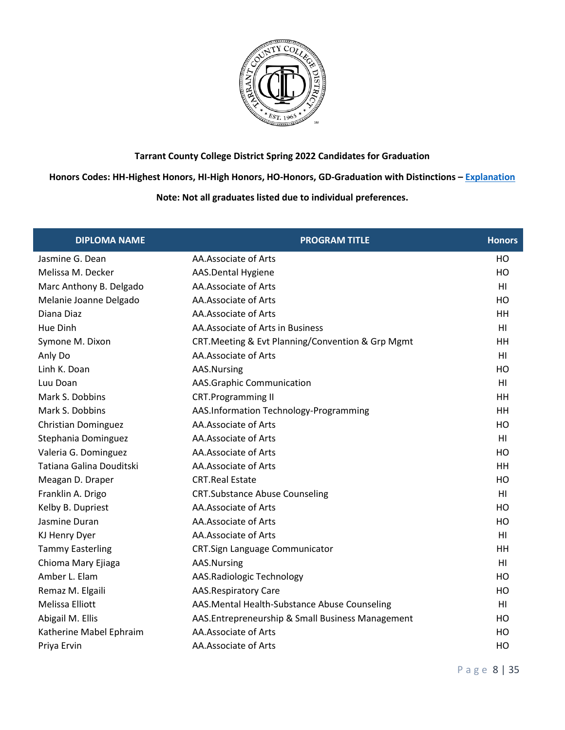

**Honors Codes: HH-Highest Honors, HI-High Honors, HO-Honors, GD-Graduation with Distinctions – [Explanation](https://www.tccd.edu/academics/graduation/graduates/graduation-honors/)**

| <b>DIPLOMA NAME</b>        | <b>PROGRAM TITLE</b>                              | <b>Honors</b>  |
|----------------------------|---------------------------------------------------|----------------|
| Jasmine G. Dean            | AA.Associate of Arts                              | HO             |
| Melissa M. Decker          | AAS.Dental Hygiene                                | HO             |
| Marc Anthony B. Delgado    | AA.Associate of Arts                              | H <sub>1</sub> |
| Melanie Joanne Delgado     | AA.Associate of Arts                              | HO             |
| Diana Diaz                 | AA.Associate of Arts                              | HH             |
| Hue Dinh                   | AA.Associate of Arts in Business                  | HI             |
| Symone M. Dixon            | CRT. Meeting & Evt Planning/Convention & Grp Mgmt | HH             |
| Anly Do                    | AA.Associate of Arts                              | HI             |
| Linh K. Doan               | AAS.Nursing                                       | HO             |
| Luu Doan                   | AAS.Graphic Communication                         | H <sub>1</sub> |
| Mark S. Dobbins            | <b>CRT.Programming II</b>                         | HH             |
| Mark S. Dobbins            | AAS.Information Technology-Programming            | HH             |
| <b>Christian Dominguez</b> | AA.Associate of Arts                              | HO             |
| Stephania Dominguez        | AA.Associate of Arts                              | H1             |
| Valeria G. Dominguez       | AA.Associate of Arts                              | HO             |
| Tatiana Galina Douditski   | AA.Associate of Arts                              | HH             |
| Meagan D. Draper           | <b>CRT.Real Estate</b>                            | HO             |
| Franklin A. Drigo          | <b>CRT.Substance Abuse Counseling</b>             | H1             |
| Kelby B. Dupriest          | AA.Associate of Arts                              | HO             |
| Jasmine Duran              | AA.Associate of Arts                              | HO             |
| KJ Henry Dyer              | AA.Associate of Arts                              | H <sub>1</sub> |
| <b>Tammy Easterling</b>    | CRT.Sign Language Communicator                    | HH             |
| Chioma Mary Ejiaga         | AAS.Nursing                                       | H1             |
| Amber L. Elam              | AAS.Radiologic Technology                         | HO             |
| Remaz M. Elgaili           | <b>AAS.Respiratory Care</b>                       | HO             |
| <b>Melissa Elliott</b>     | AAS.Mental Health-Substance Abuse Counseling      | H <sub>1</sub> |
| Abigail M. Ellis           | AAS.Entrepreneurship & Small Business Management  | HO             |
| Katherine Mabel Ephraim    | AA.Associate of Arts                              | HO             |
| Priya Ervin                | AA.Associate of Arts                              | HO             |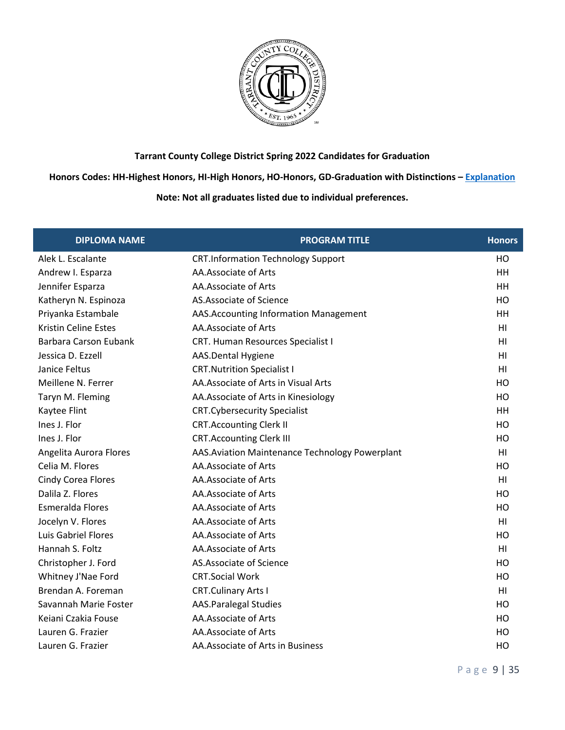

**Honors Codes: HH-Highest Honors, HI-High Honors, HO-Honors, GD-Graduation with Distinctions – [Explanation](https://www.tccd.edu/academics/graduation/graduates/graduation-honors/)**

| <b>DIPLOMA NAME</b>          | <b>PROGRAM TITLE</b>                            | <b>Honors</b>  |
|------------------------------|-------------------------------------------------|----------------|
| Alek L. Escalante            | <b>CRT.Information Technology Support</b>       | HO             |
| Andrew I. Esparza            | AA.Associate of Arts                            | HH             |
| Jennifer Esparza             | AA.Associate of Arts                            | HH             |
| Katheryn N. Espinoza         | AS. Associate of Science                        | HO             |
| Priyanka Estambale           | AAS. Accounting Information Management          | <b>HH</b>      |
| <b>Kristin Celine Estes</b>  | AA.Associate of Arts                            | HI             |
| <b>Barbara Carson Eubank</b> | CRT. Human Resources Specialist I               | HI             |
| Jessica D. Ezzell            | AAS.Dental Hygiene                              | H <sub>l</sub> |
| Janice Feltus                | <b>CRT. Nutrition Specialist I</b>              | H <sub>l</sub> |
| Meillene N. Ferrer           | AA. Associate of Arts in Visual Arts            | HO             |
| Taryn M. Fleming             | AA. Associate of Arts in Kinesiology            | HO             |
| Kaytee Flint                 | <b>CRT.Cybersecurity Specialist</b>             | HH             |
| Ines J. Flor                 | <b>CRT.Accounting Clerk II</b>                  | HO             |
| Ines J. Flor                 | <b>CRT.Accounting Clerk III</b>                 | HO             |
| Angelita Aurora Flores       | AAS. Aviation Maintenance Technology Powerplant | H <sub>l</sub> |
| Celia M. Flores              | AA.Associate of Arts                            | HO             |
| <b>Cindy Corea Flores</b>    | AA.Associate of Arts                            | H <sub>l</sub> |
| Dalila Z. Flores             | AA.Associate of Arts                            | HO             |
| Esmeralda Flores             | AA.Associate of Arts                            | HO             |
| Jocelyn V. Flores            | AA.Associate of Arts                            | H <sub>l</sub> |
| Luis Gabriel Flores          | AA.Associate of Arts                            | HO             |
| Hannah S. Foltz              | AA.Associate of Arts                            | H <sub>l</sub> |
| Christopher J. Ford          | AS.Associate of Science                         | HO             |
| Whitney J'Nae Ford           | <b>CRT.Social Work</b>                          | HO             |
| Brendan A. Foreman           | <b>CRT.Culinary Arts I</b>                      | H <sub>l</sub> |
| Savannah Marie Foster        | <b>AAS.Paralegal Studies</b>                    | HO             |
| Keiani Czakia Fouse          | AA.Associate of Arts                            | HO             |
| Lauren G. Frazier            | AA.Associate of Arts                            | HO             |
| Lauren G. Frazier            | AA. Associate of Arts in Business               | HO             |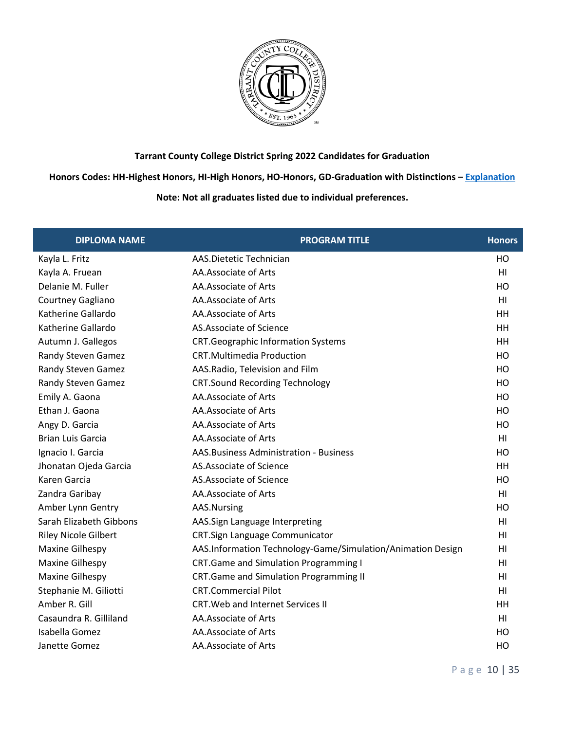

**Honors Codes: HH-Highest Honors, HI-High Honors, HO-Honors, GD-Graduation with Distinctions – [Explanation](https://www.tccd.edu/academics/graduation/graduates/graduation-honors/)**

| <b>DIPLOMA NAME</b>         | <b>PROGRAM TITLE</b>                                        | <b>Honors</b>  |
|-----------------------------|-------------------------------------------------------------|----------------|
| Kayla L. Fritz              | AAS.Dietetic Technician                                     | HO             |
| Kayla A. Fruean             | AA.Associate of Arts                                        | H <sub>l</sub> |
| Delanie M. Fuller           | AA.Associate of Arts                                        | HO             |
| Courtney Gagliano           | AA.Associate of Arts                                        | H <sub>l</sub> |
| Katherine Gallardo          | AA.Associate of Arts                                        | <b>HH</b>      |
| Katherine Gallardo          | AS.Associate of Science                                     | <b>HH</b>      |
| Autumn J. Gallegos          | <b>CRT.Geographic Information Systems</b>                   | <b>HH</b>      |
| Randy Steven Gamez          | <b>CRT.Multimedia Production</b>                            | HO             |
| Randy Steven Gamez          | AAS.Radio, Television and Film                              | HO             |
| Randy Steven Gamez          | <b>CRT.Sound Recording Technology</b>                       | HO             |
| Emily A. Gaona              | AA.Associate of Arts                                        | HO             |
| Ethan J. Gaona              | AA.Associate of Arts                                        | HO             |
| Angy D. Garcia              | AA.Associate of Arts                                        | HO             |
| <b>Brian Luis Garcia</b>    | AA.Associate of Arts                                        | HI             |
| Ignacio I. Garcia           | AAS. Business Administration - Business                     | HO             |
| Jhonatan Ojeda Garcia       | AS.Associate of Science                                     | <b>HH</b>      |
| Karen Garcia                | AS.Associate of Science                                     | HO             |
| Zandra Garibay              | AA.Associate of Arts                                        | H1             |
| Amber Lynn Gentry           | AAS.Nursing                                                 | HO             |
| Sarah Elizabeth Gibbons     | AAS.Sign Language Interpreting                              | H1             |
| <b>Riley Nicole Gilbert</b> | CRT.Sign Language Communicator                              | H <sub>l</sub> |
| <b>Maxine Gilhespy</b>      | AAS.Information Technology-Game/Simulation/Animation Design | H <sub>l</sub> |
| Maxine Gilhespy             | <b>CRT.Game and Simulation Programming I</b>                | H <sub>l</sub> |
| Maxine Gilhespy             | <b>CRT.Game and Simulation Programming II</b>               | HI             |
| Stephanie M. Giliotti       | <b>CRT.Commercial Pilot</b>                                 | H <sub>l</sub> |
| Amber R. Gill               | <b>CRT. Web and Internet Services II</b>                    | HH             |
| Casaundra R. Gilliland      | AA.Associate of Arts                                        | H1             |
| Isabella Gomez              | AA.Associate of Arts                                        | HO             |
| Janette Gomez               | AA.Associate of Arts                                        | HO             |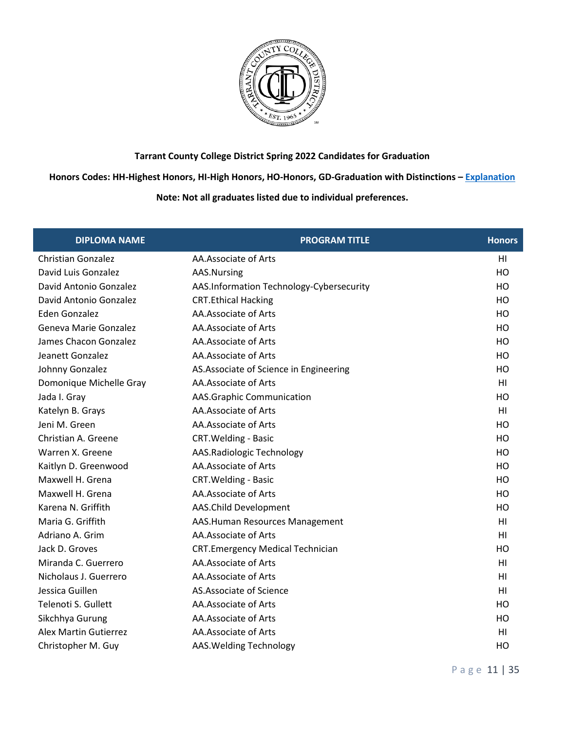

**Honors Codes: HH-Highest Honors, HI-High Honors, HO-Honors, GD-Graduation with Distinctions – [Explanation](https://www.tccd.edu/academics/graduation/graduates/graduation-honors/)**

| <b>DIPLOMA NAME</b>          | <b>PROGRAM TITLE</b>                     | <b>Honors</b>  |
|------------------------------|------------------------------------------|----------------|
| <b>Christian Gonzalez</b>    | AA.Associate of Arts                     | HI             |
| David Luis Gonzalez          | AAS.Nursing                              | HO             |
| David Antonio Gonzalez       | AAS.Information Technology-Cybersecurity | HO             |
| David Antonio Gonzalez       | <b>CRT.Ethical Hacking</b>               | HO             |
| Eden Gonzalez                | AA.Associate of Arts                     | HO             |
| Geneva Marie Gonzalez        | AA.Associate of Arts                     | HO             |
| James Chacon Gonzalez        | AA.Associate of Arts                     | HO             |
| Jeanett Gonzalez             | AA.Associate of Arts                     | HO             |
| Johnny Gonzalez              | AS. Associate of Science in Engineering  | HO             |
| Domonique Michelle Gray      | AA.Associate of Arts                     | H <sub>1</sub> |
| Jada I. Gray                 | AAS.Graphic Communication                | HO             |
| Katelyn B. Grays             | AA.Associate of Arts                     | H <sub>1</sub> |
| Jeni M. Green                | AA.Associate of Arts                     | HO             |
| Christian A. Greene          | <b>CRT. Welding - Basic</b>              | HO             |
| Warren X. Greene             | AAS.Radiologic Technology                | HO             |
| Kaitlyn D. Greenwood         | AA.Associate of Arts                     | HO             |
| Maxwell H. Grena             | CRT. Welding - Basic                     | HO             |
| Maxwell H. Grena             | AA.Associate of Arts                     | HO             |
| Karena N. Griffith           | AAS.Child Development                    | HO             |
| Maria G. Griffith            | AAS.Human Resources Management           | HI             |
| Adriano A. Grim              | AA.Associate of Arts                     | HI             |
| Jack D. Groves               | <b>CRT.Emergency Medical Technician</b>  | HO             |
| Miranda C. Guerrero          | AA.Associate of Arts                     | H <sub>1</sub> |
| Nicholaus J. Guerrero        | AA.Associate of Arts                     | HI             |
| Jessica Guillen              | AS.Associate of Science                  | HI             |
| Telenoti S. Gullett          | AA.Associate of Arts                     | HO             |
| Sikchhya Gurung              | AA.Associate of Arts                     | HO             |
| <b>Alex Martin Gutierrez</b> | AA.Associate of Arts                     | HI             |
| Christopher M. Guy           | AAS. Welding Technology                  | HO             |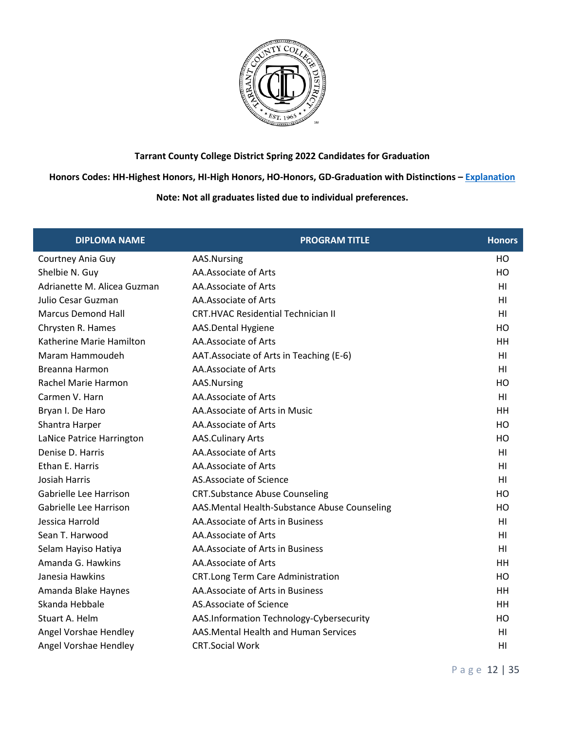

**Honors Codes: HH-Highest Honors, HI-High Honors, HO-Honors, GD-Graduation with Distinctions – [Explanation](https://www.tccd.edu/academics/graduation/graduates/graduation-honors/)**

| <b>DIPLOMA NAME</b>         | <b>PROGRAM TITLE</b>                         | <b>Honors</b>  |
|-----------------------------|----------------------------------------------|----------------|
| Courtney Ania Guy           | AAS.Nursing                                  | HO             |
| Shelbie N. Guy              | AA.Associate of Arts                         | HO             |
| Adrianette M. Alicea Guzman | AA.Associate of Arts                         | HI             |
| Julio Cesar Guzman          | AA.Associate of Arts                         | H1             |
| <b>Marcus Demond Hall</b>   | <b>CRT.HVAC Residential Technician II</b>    | HI             |
| Chrysten R. Hames           | AAS.Dental Hygiene                           | HO             |
| Katherine Marie Hamilton    | AA.Associate of Arts                         | HH             |
| Maram Hammoudeh             | AAT. Associate of Arts in Teaching (E-6)     | HI             |
| Breanna Harmon              | AA.Associate of Arts                         | HI             |
| Rachel Marie Harmon         | AAS.Nursing                                  | HO             |
| Carmen V. Harn              | AA.Associate of Arts                         | H <sub>1</sub> |
| Bryan I. De Haro            | AA.Associate of Arts in Music                | HH             |
| Shantra Harper              | AA.Associate of Arts                         | HO             |
| LaNice Patrice Harrington   | <b>AAS.Culinary Arts</b>                     | HO             |
| Denise D. Harris            | AA.Associate of Arts                         | HI             |
| Ethan E. Harris             | AA.Associate of Arts                         | HI             |
| <b>Josiah Harris</b>        | AS.Associate of Science                      | HI             |
| Gabrielle Lee Harrison      | <b>CRT.Substance Abuse Counseling</b>        | HO             |
| Gabrielle Lee Harrison      | AAS.Mental Health-Substance Abuse Counseling | HO             |
| Jessica Harrold             | AA. Associate of Arts in Business            | HI             |
| Sean T. Harwood             | AA.Associate of Arts                         | HI             |
| Selam Hayiso Hatiya         | AA.Associate of Arts in Business             | HI             |
| Amanda G. Hawkins           | AA.Associate of Arts                         | HH             |
| Janesia Hawkins             | CRT.Long Term Care Administration            | HO             |
| Amanda Blake Haynes         | AA. Associate of Arts in Business            | HH             |
| Skanda Hebbale              | AS.Associate of Science                      | HH             |
| Stuart A. Helm              | AAS.Information Technology-Cybersecurity     | HO             |
| Angel Vorshae Hendley       | AAS. Mental Health and Human Services        | HI             |
| Angel Vorshae Hendley       | <b>CRT.Social Work</b>                       | HI             |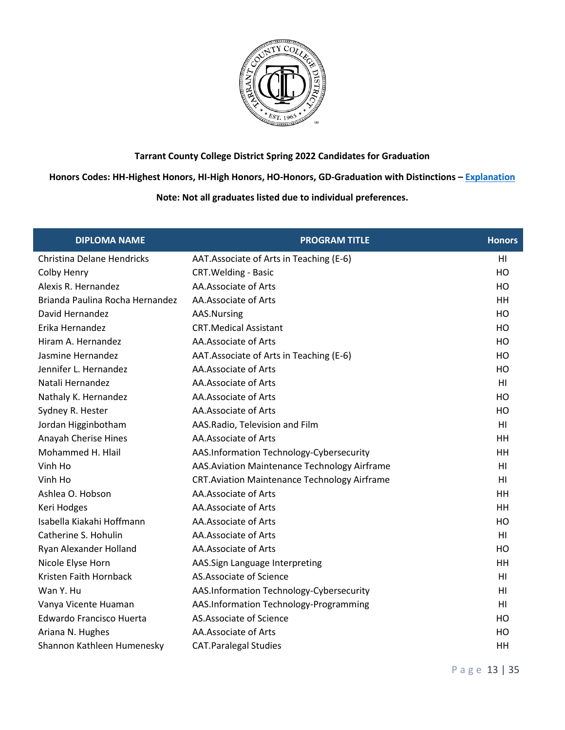

### **Honors Codes: HH-Highest Honors, HI-High Honors, HO-Honors, GD-Graduation with Distinctions – [Explanation](https://www.tccd.edu/academics/graduation/graduates/graduation-honors/)**

| <b>DIPLOMA NAME</b>             | <b>PROGRAM TITLE</b>                                 | <b>Honors</b>  |
|---------------------------------|------------------------------------------------------|----------------|
| Christina Delane Hendricks      | AAT.Associate of Arts in Teaching (E-6)              | HI             |
| Colby Henry                     | <b>CRT. Welding - Basic</b>                          | HO             |
| Alexis R. Hernandez             | AA.Associate of Arts                                 | HO             |
| Brianda Paulina Rocha Hernandez | AA.Associate of Arts                                 | HH.            |
| David Hernandez                 | AAS.Nursing                                          | HO             |
| Erika Hernandez                 | <b>CRT.Medical Assistant</b>                         | HO             |
| Hiram A. Hernandez              | AA.Associate of Arts                                 | HO             |
| Jasmine Hernandez               | AAT. Associate of Arts in Teaching (E-6)             | HO             |
| Jennifer L. Hernandez           | AA.Associate of Arts                                 | HO             |
| Natali Hernandez                | AA.Associate of Arts                                 | H <sub>l</sub> |
| Nathaly K. Hernandez            | AA.Associate of Arts                                 | HO             |
| Sydney R. Hester                | AA.Associate of Arts                                 | HO             |
| Jordan Higginbotham             | AAS.Radio, Television and Film                       | H <sub>l</sub> |
| Anayah Cherise Hines            | AA.Associate of Arts                                 | HH             |
| Mohammed H. Hlail               | AAS.Information Technology-Cybersecurity             | HH             |
| Vinh Ho                         | AAS. Aviation Maintenance Technology Airframe        | H <sub>l</sub> |
| Vinh Ho                         | <b>CRT. Aviation Maintenance Technology Airframe</b> | H <sub>l</sub> |
| Ashlea O. Hobson                | AA.Associate of Arts                                 | HH             |
| Keri Hodges                     | AA.Associate of Arts                                 | HH             |
| Isabella Kiakahi Hoffmann       | AA.Associate of Arts                                 | HO             |
| Catherine S. Hohulin            | AA.Associate of Arts                                 | HI             |
| Ryan Alexander Holland          | AA.Associate of Arts                                 | HO             |
| Nicole Elyse Horn               | AAS.Sign Language Interpreting                       | HH             |
| Kristen Faith Hornback          | AS.Associate of Science                              | HI             |
| Wan Y. Hu                       | AAS.Information Technology-Cybersecurity             | H <sub>l</sub> |
| Vanya Vicente Huaman            | AAS.Information Technology-Programming               | H <sub>l</sub> |
| Edwardo Francisco Huerta        | AS.Associate of Science                              | HO             |
| Ariana N. Hughes                | AA.Associate of Arts                                 | HO             |
| Shannon Kathleen Humenesky      | <b>CAT.Paralegal Studies</b>                         | HH             |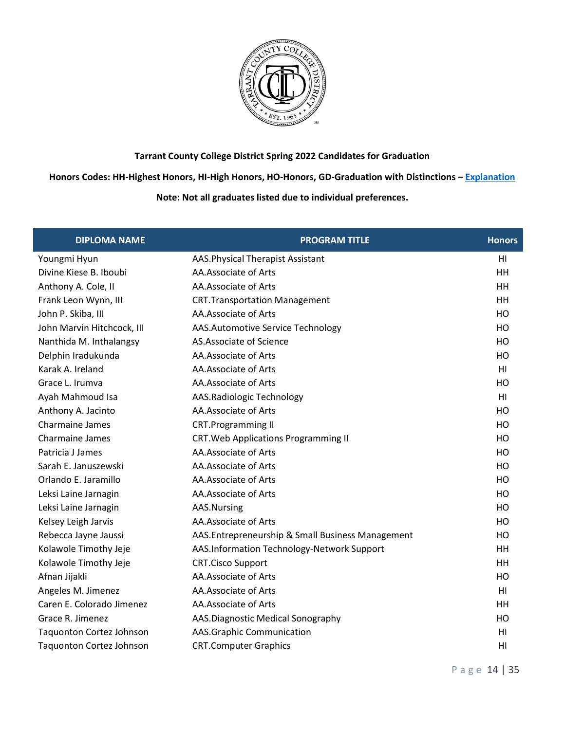

**Honors Codes: HH-Highest Honors, HI-High Honors, HO-Honors, GD-Graduation with Distinctions – [Explanation](https://www.tccd.edu/academics/graduation/graduates/graduation-honors/)**

| <b>DIPLOMA NAME</b>             | <b>PROGRAM TITLE</b>                             | <b>Honors</b>  |
|---------------------------------|--------------------------------------------------|----------------|
| Youngmi Hyun                    | <b>AAS. Physical Therapist Assistant</b>         | H <sub>l</sub> |
| Divine Kiese B. Iboubi          | AA.Associate of Arts                             | HH             |
| Anthony A. Cole, II             | AA.Associate of Arts                             | HH             |
| Frank Leon Wynn, III            | <b>CRT.Transportation Management</b>             | <b>HH</b>      |
| John P. Skiba, III              | AA.Associate of Arts                             | H <sub>O</sub> |
| John Marvin Hitchcock, III      | AAS.Automotive Service Technology                | HO             |
| Nanthida M. Inthalangsy         | AS.Associate of Science                          | HO             |
| Delphin Iradukunda              | AA.Associate of Arts                             | HO             |
| Karak A. Ireland                | AA.Associate of Arts                             | HI             |
| Grace L. Irumva                 | AA.Associate of Arts                             | HO             |
| Ayah Mahmoud Isa                | AAS.Radiologic Technology                        | H <sub>l</sub> |
| Anthony A. Jacinto              | AA.Associate of Arts                             | HO             |
| Charmaine James                 | <b>CRT.Programming II</b>                        | HO             |
| Charmaine James                 | <b>CRT. Web Applications Programming II</b>      | HO             |
| Patricia J James                | AA.Associate of Arts                             | HO             |
| Sarah E. Januszewski            | AA.Associate of Arts                             | HO             |
| Orlando E. Jaramillo            | AA.Associate of Arts                             | HO             |
| Leksi Laine Jarnagin            | AA.Associate of Arts                             | HO             |
| Leksi Laine Jarnagin            | AAS.Nursing                                      | HO             |
| Kelsey Leigh Jarvis             | AA.Associate of Arts                             | HO             |
| Rebecca Jayne Jaussi            | AAS.Entrepreneurship & Small Business Management | HO             |
| Kolawole Timothy Jeje           | AAS.Information Technology-Network Support       | <b>HH</b>      |
| Kolawole Timothy Jeje           | <b>CRT.Cisco Support</b>                         | <b>HH</b>      |
| Afnan Jijakli                   | AA.Associate of Arts                             | HO             |
| Angeles M. Jimenez              | AA.Associate of Arts                             | HI             |
| Caren E. Colorado Jimenez       | AA.Associate of Arts                             | HH             |
| Grace R. Jimenez                | AAS.Diagnostic Medical Sonography                | HO             |
| Taquonton Cortez Johnson        | AAS.Graphic Communication                        | H <sub>l</sub> |
| <b>Taquonton Cortez Johnson</b> | <b>CRT.Computer Graphics</b>                     | HI             |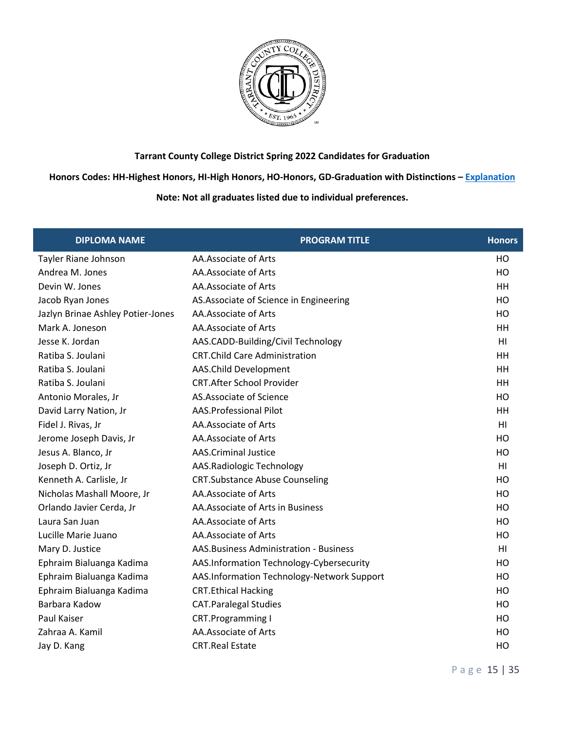

**Honors Codes: HH-Highest Honors, HI-High Honors, HO-Honors, GD-Graduation with Distinctions – [Explanation](https://www.tccd.edu/academics/graduation/graduates/graduation-honors/)**

| <b>DIPLOMA NAME</b>               | <b>PROGRAM TITLE</b>                       | <b>Honors</b>  |
|-----------------------------------|--------------------------------------------|----------------|
| Tayler Riane Johnson              | AA.Associate of Arts                       | HO             |
| Andrea M. Jones                   | AA.Associate of Arts                       | HO             |
| Devin W. Jones                    | AA.Associate of Arts                       | HH             |
| Jacob Ryan Jones                  | AS. Associate of Science in Engineering    | HO             |
| Jazlyn Brinae Ashley Potier-Jones | AA.Associate of Arts                       | HO             |
| Mark A. Joneson                   | AA.Associate of Arts                       | HH             |
| Jesse K. Jordan                   | AAS.CADD-Building/Civil Technology         | H1             |
| Ratiba S. Joulani                 | <b>CRT.Child Care Administration</b>       | HH             |
| Ratiba S. Joulani                 | AAS.Child Development                      | HH             |
| Ratiba S. Joulani                 | <b>CRT.After School Provider</b>           | HH             |
| Antonio Morales, Jr               | AS.Associate of Science                    | HO             |
| David Larry Nation, Jr            | <b>AAS.Professional Pilot</b>              | HH             |
| Fidel J. Rivas, Jr                | AA.Associate of Arts                       | H <sub>l</sub> |
| Jerome Joseph Davis, Jr           | AA.Associate of Arts                       | H <sub>O</sub> |
| Jesus A. Blanco, Jr               | <b>AAS.Criminal Justice</b>                | HO             |
| Joseph D. Ortiz, Jr               | AAS.Radiologic Technology                  | HI             |
| Kenneth A. Carlisle, Jr           | <b>CRT.Substance Abuse Counseling</b>      | HO             |
| Nicholas Mashall Moore, Jr        | AA.Associate of Arts                       | H <sub>O</sub> |
| Orlando Javier Cerda, Jr          | AA.Associate of Arts in Business           | HO             |
| Laura San Juan                    | AA.Associate of Arts                       | HO             |
| Lucille Marie Juano               | AA.Associate of Arts                       | HO             |
| Mary D. Justice                   | AAS. Business Administration - Business    | HI             |
| Ephraim Bialuanga Kadima          | AAS.Information Technology-Cybersecurity   | HO             |
| Ephraim Bialuanga Kadima          | AAS.Information Technology-Network Support | HO             |
| Ephraim Bialuanga Kadima          | <b>CRT.Ethical Hacking</b>                 | HO             |
| Barbara Kadow                     | <b>CAT.Paralegal Studies</b>               | HO             |
| Paul Kaiser                       | <b>CRT.Programming I</b>                   | HO             |
| Zahraa A. Kamil                   | AA.Associate of Arts                       | HO             |
| Jay D. Kang                       | <b>CRT.Real Estate</b>                     | HO             |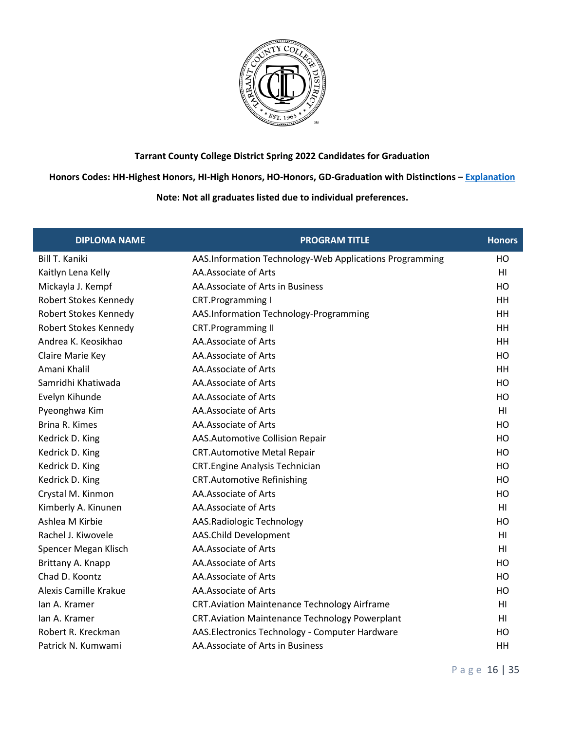

#### **Honors Codes: HH-Highest Honors, HI-High Honors, HO-Honors, GD-Graduation with Distinctions – [Explanation](https://www.tccd.edu/academics/graduation/graduates/graduation-honors/)**

| <b>DIPLOMA NAME</b>          | <b>PROGRAM TITLE</b>                                    | <b>Honors</b>  |
|------------------------------|---------------------------------------------------------|----------------|
| <b>Bill T. Kaniki</b>        | AAS.Information Technology-Web Applications Programming | HO             |
| Kaitlyn Lena Kelly           | AA.Associate of Arts                                    | HI             |
| Mickayla J. Kempf            | AA.Associate of Arts in Business                        | HO             |
| Robert Stokes Kennedy        | <b>CRT.Programming I</b>                                | HH             |
| <b>Robert Stokes Kennedy</b> | AAS.Information Technology-Programming                  | HH             |
| Robert Stokes Kennedy        | <b>CRT.Programming II</b>                               | HH             |
| Andrea K. Keosikhao          | AA.Associate of Arts                                    | HH             |
| Claire Marie Key             | AA.Associate of Arts                                    | HO             |
| Amani Khalil                 | AA.Associate of Arts                                    | HH             |
| Samridhi Khatiwada           | AA.Associate of Arts                                    | HO             |
| Evelyn Kihunde               | AA.Associate of Arts                                    | HO             |
| Pyeonghwa Kim                | AA.Associate of Arts                                    | HI             |
| Brina R. Kimes               | AA.Associate of Arts                                    | HO             |
| Kedrick D. King              | AAS.Automotive Collision Repair                         | HO             |
| Kedrick D. King              | <b>CRT.Automotive Metal Repair</b>                      | HO             |
| Kedrick D. King              | <b>CRT.Engine Analysis Technician</b>                   | HO             |
| Kedrick D. King              | <b>CRT.Automotive Refinishing</b>                       | HO             |
| Crystal M. Kinmon            | AA.Associate of Arts                                    | HO             |
| Kimberly A. Kinunen          | AA.Associate of Arts                                    | HI             |
| Ashlea M Kirbie              | AAS.Radiologic Technology                               | HO             |
| Rachel J. Kiwovele           | AAS.Child Development                                   | H <sub>l</sub> |
| Spencer Megan Klisch         | AA.Associate of Arts                                    | H <sub>l</sub> |
| Brittany A. Knapp            | AA.Associate of Arts                                    | HO             |
| Chad D. Koontz               | AA.Associate of Arts                                    | HO             |
| Alexis Camille Krakue        | AA.Associate of Arts                                    | HO             |
| lan A. Kramer                | <b>CRT.Aviation Maintenance Technology Airframe</b>     | HI             |
| lan A. Kramer                | <b>CRT.Aviation Maintenance Technology Powerplant</b>   | H1             |
| Robert R. Kreckman           | AAS. Electronics Technology - Computer Hardware         | HO             |
| Patrick N. Kumwami           | AA. Associate of Arts in Business                       | HH             |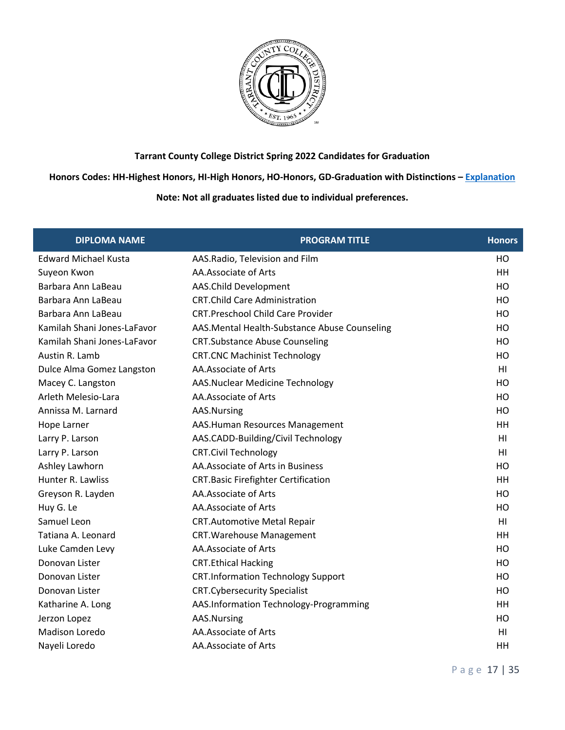

**Honors Codes: HH-Highest Honors, HI-High Honors, HO-Honors, GD-Graduation with Distinctions – [Explanation](https://www.tccd.edu/academics/graduation/graduates/graduation-honors/)**

| <b>DIPLOMA NAME</b>         | <b>PROGRAM TITLE</b>                         | <b>Honors</b>  |
|-----------------------------|----------------------------------------------|----------------|
| <b>Edward Michael Kusta</b> | AAS.Radio, Television and Film               | HO             |
| Suyeon Kwon                 | AA.Associate of Arts                         | HH             |
| Barbara Ann LaBeau          | AAS.Child Development                        | HO             |
| Barbara Ann LaBeau          | <b>CRT.Child Care Administration</b>         | HO             |
| Barbara Ann LaBeau          | <b>CRT.Preschool Child Care Provider</b>     | HO             |
| Kamilah Shani Jones-LaFavor | AAS.Mental Health-Substance Abuse Counseling | HO             |
| Kamilah Shani Jones-LaFavor | <b>CRT.Substance Abuse Counseling</b>        | HO             |
| Austin R. Lamb              | <b>CRT.CNC Machinist Technology</b>          | HO             |
| Dulce Alma Gomez Langston   | AA.Associate of Arts                         | HI             |
| Macey C. Langston           | <b>AAS.Nuclear Medicine Technology</b>       | H <sub>O</sub> |
| Arleth Melesio-Lara         | AA.Associate of Arts                         | HO             |
| Annissa M. Larnard          | AAS.Nursing                                  | HO             |
| Hope Larner                 | AAS.Human Resources Management               | HH             |
| Larry P. Larson             | AAS.CADD-Building/Civil Technology           | H <sub>l</sub> |
| Larry P. Larson             | <b>CRT.Civil Technology</b>                  | HI             |
| Ashley Lawhorn              | AA. Associate of Arts in Business            | HO             |
| Hunter R. Lawliss           | <b>CRT.Basic Firefighter Certification</b>   | HH             |
| Greyson R. Layden           | AA.Associate of Arts                         | HO             |
| Huy G. Le                   | AA.Associate of Arts                         | HO             |
| Samuel Leon                 | <b>CRT.Automotive Metal Repair</b>           | H <sub>l</sub> |
| Tatiana A. Leonard          | <b>CRT. Warehouse Management</b>             | HH             |
| Luke Camden Levy            | AA.Associate of Arts                         | HO             |
| Donovan Lister              | <b>CRT.Ethical Hacking</b>                   | H <sub>O</sub> |
| Donovan Lister              | <b>CRT.Information Technology Support</b>    | HO             |
| Donovan Lister              | <b>CRT.Cybersecurity Specialist</b>          | HO             |
| Katharine A. Long           | AAS.Information Technology-Programming       | HH             |
| Jerzon Lopez                | AAS.Nursing                                  | HO             |
| Madison Loredo              | AA.Associate of Arts                         | HI             |
| Nayeli Loredo               | AA.Associate of Arts                         | HH             |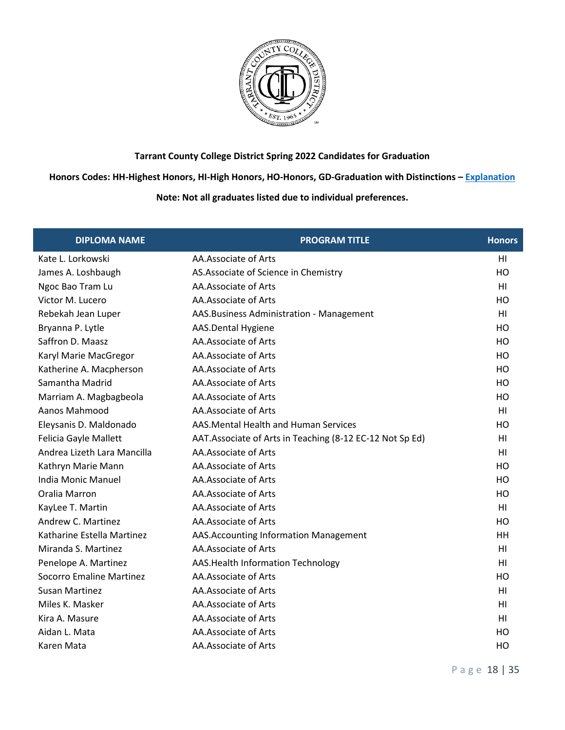

**Honors Codes: HH-Highest Honors, HI-High Honors, HO-Honors, GD-Graduation with Distinctions – [Explanation](https://www.tccd.edu/academics/graduation/graduates/graduation-honors/)**

| <b>DIPLOMA NAME</b>             | <b>PROGRAM TITLE</b>                                     | <b>Honors</b>  |
|---------------------------------|----------------------------------------------------------|----------------|
| Kate L. Lorkowski               | AA.Associate of Arts                                     | HI             |
| James A. Loshbaugh              | AS. Associate of Science in Chemistry                    | HO             |
| Ngoc Bao Tram Lu                | AA.Associate of Arts                                     | H <sub>l</sub> |
| Victor M. Lucero                | AA.Associate of Arts                                     | HO             |
| Rebekah Jean Luper              | AAS. Business Administration - Management                | H <sub>l</sub> |
| Bryanna P. Lytle                | AAS.Dental Hygiene                                       | HO             |
| Saffron D. Maasz                | AA.Associate of Arts                                     | HO             |
| Karyl Marie MacGregor           | AA.Associate of Arts                                     | HO             |
| Katherine A. Macpherson         | AA.Associate of Arts                                     | HO             |
| Samantha Madrid                 | AA.Associate of Arts                                     | HO             |
| Marriam A. Magbagbeola          | AA.Associate of Arts                                     | HO             |
| Aanos Mahmood                   | AA.Associate of Arts                                     | H <sub>l</sub> |
| Eleysanis D. Maldonado          | AAS. Mental Health and Human Services                    | HO             |
| Felicia Gayle Mallett           | AAT.Associate of Arts in Teaching (8-12 EC-12 Not Sp Ed) | H <sub>l</sub> |
| Andrea Lizeth Lara Mancilla     | AA.Associate of Arts                                     | HI             |
| Kathryn Marie Mann              | AA.Associate of Arts                                     | HO             |
| <b>India Monic Manuel</b>       | AA.Associate of Arts                                     | HO             |
| Oralia Marron                   | AA.Associate of Arts                                     | HO             |
| KayLee T. Martin                | AA.Associate of Arts                                     | H <sub>l</sub> |
| Andrew C. Martinez              | AA.Associate of Arts                                     | HO             |
| Katharine Estella Martinez      | AAS. Accounting Information Management                   | HH             |
| Miranda S. Martinez             | AA.Associate of Arts                                     | HI             |
| Penelope A. Martinez            | AAS. Health Information Technology                       | HI             |
| <b>Socorro Emaline Martinez</b> | AA.Associate of Arts                                     | HO             |
| <b>Susan Martinez</b>           | AA.Associate of Arts                                     | H <sub>l</sub> |
| Miles K. Masker                 | AA.Associate of Arts                                     | HI             |
| Kira A. Masure                  | AA.Associate of Arts                                     | HI             |
| Aidan L. Mata                   | AA.Associate of Arts                                     | HO             |
| Karen Mata                      | AA.Associate of Arts                                     | HO             |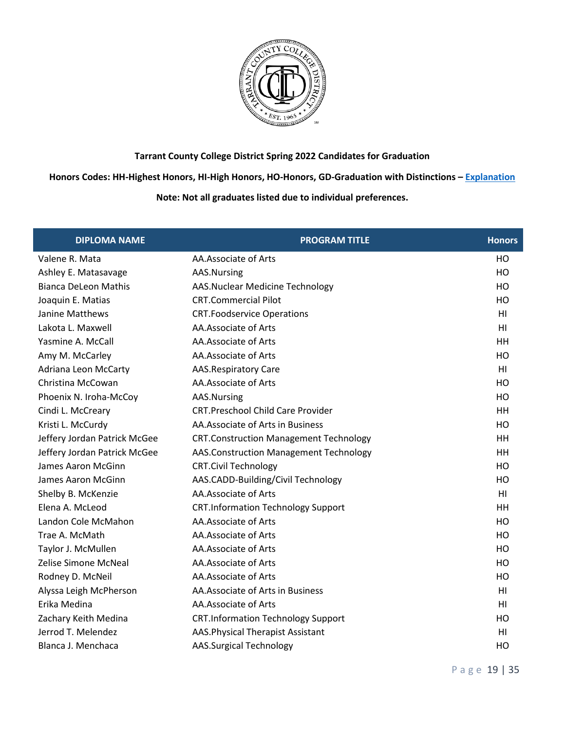

**Honors Codes: HH-Highest Honors, HI-High Honors, HO-Honors, GD-Graduation with Distinctions – [Explanation](https://www.tccd.edu/academics/graduation/graduates/graduation-honors/)**

| <b>DIPLOMA NAME</b>          | <b>PROGRAM TITLE</b>                          | <b>Honors</b>  |
|------------------------------|-----------------------------------------------|----------------|
| Valene R. Mata               | AA.Associate of Arts                          | HO             |
| Ashley E. Matasavage         | AAS.Nursing                                   | HO             |
| <b>Bianca DeLeon Mathis</b>  | AAS.Nuclear Medicine Technology               | HO             |
| Joaquin E. Matias            | <b>CRT.Commercial Pilot</b>                   | HO             |
| Janine Matthews              | <b>CRT.Foodservice Operations</b>             | H <sub>l</sub> |
| Lakota L. Maxwell            | AA.Associate of Arts                          | HI             |
| Yasmine A. McCall            | AA.Associate of Arts                          | HH             |
| Amy M. McCarley              | AA.Associate of Arts                          | HO             |
| Adriana Leon McCarty         | <b>AAS.Respiratory Care</b>                   | HI             |
| Christina McCowan            | AA.Associate of Arts                          | HO             |
| Phoenix N. Iroha-McCoy       | AAS.Nursing                                   | HO             |
| Cindi L. McCreary            | <b>CRT.Preschool Child Care Provider</b>      | HH             |
| Kristi L. McCurdy            | AA. Associate of Arts in Business             | HO             |
| Jeffery Jordan Patrick McGee | <b>CRT.Construction Management Technology</b> | HH             |
| Jeffery Jordan Patrick McGee | AAS.Construction Management Technology        | HH             |
| James Aaron McGinn           | <b>CRT.Civil Technology</b>                   | HO             |
| James Aaron McGinn           | AAS.CADD-Building/Civil Technology            | HO             |
| Shelby B. McKenzie           | AA.Associate of Arts                          | HI             |
| Elena A. McLeod              | <b>CRT.Information Technology Support</b>     | HH             |
| Landon Cole McMahon          | AA.Associate of Arts                          | HO             |
| Trae A. McMath               | AA.Associate of Arts                          | HO             |
| Taylor J. McMullen           | AA.Associate of Arts                          | HO             |
| Zelise Simone McNeal         | AA.Associate of Arts                          | HO             |
| Rodney D. McNeil             | AA.Associate of Arts                          | HO             |
| Alyssa Leigh McPherson       | AA.Associate of Arts in Business              | H <sub>l</sub> |
| Erika Medina                 | AA.Associate of Arts                          | HI             |
| Zachary Keith Medina         | <b>CRT.Information Technology Support</b>     | HO             |
| Jerrod T. Melendez           | AAS. Physical Therapist Assistant             | HI             |
| Blanca J. Menchaca           | <b>AAS.Surgical Technology</b>                | HO             |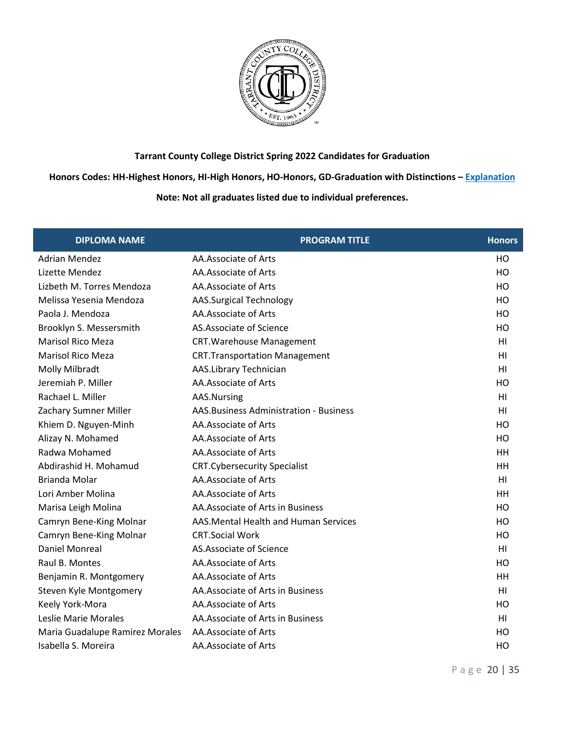

**Honors Codes: HH-Highest Honors, HI-High Honors, HO-Honors, GD-Graduation with Distinctions – [Explanation](https://www.tccd.edu/academics/graduation/graduates/graduation-honors/)**

| <b>DIPLOMA NAME</b>             | <b>PROGRAM TITLE</b>                    | <b>Honors</b>  |
|---------------------------------|-----------------------------------------|----------------|
| <b>Adrian Mendez</b>            | AA.Associate of Arts                    | HO             |
| Lizette Mendez                  | AA.Associate of Arts                    | HO             |
| Lizbeth M. Torres Mendoza       | AA.Associate of Arts                    | HO             |
| Melissa Yesenia Mendoza         | <b>AAS.Surgical Technology</b>          | HO             |
| Paola J. Mendoza                | AA.Associate of Arts                    | HO             |
| Brooklyn S. Messersmith         | AS.Associate of Science                 | HO             |
| <b>Marisol Rico Meza</b>        | <b>CRT. Warehouse Management</b>        | H <sub>l</sub> |
| Marisol Rico Meza               | <b>CRT.Transportation Management</b>    | HI             |
| Molly Milbradt                  | AAS.Library Technician                  | H <sub>l</sub> |
| Jeremiah P. Miller              | AA.Associate of Arts                    | HO             |
| Rachael L. Miller               | AAS.Nursing                             | HI             |
| Zachary Sumner Miller           | AAS. Business Administration - Business | HI             |
| Khiem D. Nguyen-Minh            | AA.Associate of Arts                    | HO             |
| Alizay N. Mohamed               | AA.Associate of Arts                    | HO             |
| Radwa Mohamed                   | AA.Associate of Arts                    | HH             |
| Abdirashid H. Mohamud           | <b>CRT.Cybersecurity Specialist</b>     | HH             |
| <b>Brianda Molar</b>            | AA.Associate of Arts                    | HI             |
| Lori Amber Molina               | AA.Associate of Arts                    | HH             |
| Marisa Leigh Molina             | AA.Associate of Arts in Business        | HO             |
| Camryn Bene-King Molnar         | AAS. Mental Health and Human Services   | HO             |
| Camryn Bene-King Molnar         | <b>CRT.Social Work</b>                  | HO             |
| Daniel Monreal                  | AS.Associate of Science                 | H1             |
| Raul B. Montes                  | AA.Associate of Arts                    | HO             |
| Benjamin R. Montgomery          | AA.Associate of Arts                    | HH             |
| Steven Kyle Montgomery          | AA. Associate of Arts in Business       | HI             |
| Keely York-Mora                 | AA.Associate of Arts                    | HO             |
| Leslie Marie Morales            | AA. Associate of Arts in Business       | H <sub>l</sub> |
| Maria Guadalupe Ramirez Morales | AA.Associate of Arts                    | HO             |
| Isabella S. Moreira             | AA.Associate of Arts                    | HO             |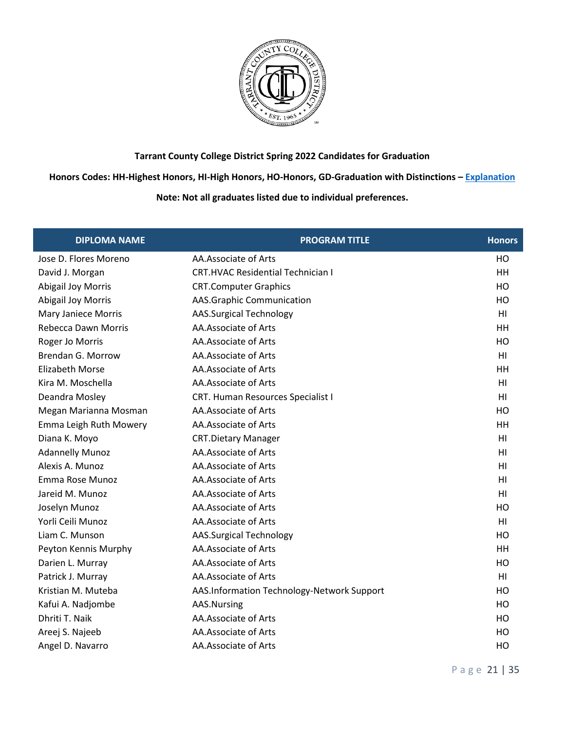

**Honors Codes: HH-Highest Honors, HI-High Honors, HO-Honors, GD-Graduation with Distinctions – [Explanation](https://www.tccd.edu/academics/graduation/graduates/graduation-honors/)**

| <b>DIPLOMA NAME</b>        | <b>PROGRAM TITLE</b>                       | <b>Honors</b>  |
|----------------------------|--------------------------------------------|----------------|
| Jose D. Flores Moreno      | AA.Associate of Arts                       | HO             |
| David J. Morgan            | <b>CRT.HVAC Residential Technician I</b>   | HH             |
| <b>Abigail Joy Morris</b>  | <b>CRT.Computer Graphics</b>               | HO             |
| <b>Abigail Joy Morris</b>  | <b>AAS.Graphic Communication</b>           | HO             |
| <b>Mary Janiece Morris</b> | <b>AAS.Surgical Technology</b>             | H <sub>l</sub> |
| Rebecca Dawn Morris        | AA.Associate of Arts                       | <b>HH</b>      |
| Roger Jo Morris            | AA.Associate of Arts                       | HO             |
| Brendan G. Morrow          | AA.Associate of Arts                       | H <sub>l</sub> |
| <b>Elizabeth Morse</b>     | AA.Associate of Arts                       | HH             |
| Kira M. Moschella          | AA.Associate of Arts                       | HI             |
| Deandra Mosley             | CRT. Human Resources Specialist I          | H <sub>l</sub> |
| Megan Marianna Mosman      | AA.Associate of Arts                       | HO             |
| Emma Leigh Ruth Mowery     | AA.Associate of Arts                       | HH             |
| Diana K. Moyo              | <b>CRT.Dietary Manager</b>                 | H <sub>l</sub> |
| <b>Adannelly Munoz</b>     | AA.Associate of Arts                       | HI             |
| Alexis A. Munoz            | AA.Associate of Arts                       | HI             |
| Emma Rose Munoz            | AA.Associate of Arts                       | H1             |
| Jareid M. Munoz            | AA.Associate of Arts                       | H <sub>l</sub> |
| Joselyn Munoz              | AA.Associate of Arts                       | HO             |
| Yorli Ceili Munoz          | AA.Associate of Arts                       | H1             |
| Liam C. Munson             | <b>AAS.Surgical Technology</b>             | HO             |
| Peyton Kennis Murphy       | AA.Associate of Arts                       | <b>HH</b>      |
| Darien L. Murray           | AA.Associate of Arts                       | HO             |
| Patrick J. Murray          | AA.Associate of Arts                       | HI             |
| Kristian M. Muteba         | AAS.Information Technology-Network Support | HO             |
| Kafui A. Nadjombe          | AAS.Nursing                                | HO             |
| Dhriti T. Naik             | AA.Associate of Arts                       | HO             |
| Areej S. Najeeb            | AA.Associate of Arts                       | HO             |
| Angel D. Navarro           | AA.Associate of Arts                       | HO             |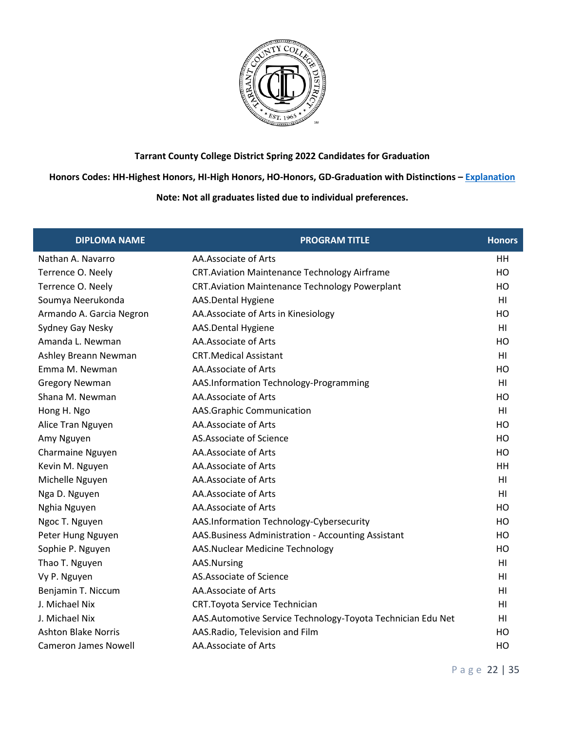

**Honors Codes: HH-Highest Honors, HI-High Honors, HO-Honors, GD-Graduation with Distinctions – [Explanation](https://www.tccd.edu/academics/graduation/graduates/graduation-honors/)**

| <b>DIPLOMA NAME</b>         | <b>PROGRAM TITLE</b>                                        | <b>Honors</b>  |
|-----------------------------|-------------------------------------------------------------|----------------|
| Nathan A. Navarro           | AA.Associate of Arts                                        | HH             |
| Terrence O. Neely           | <b>CRT.Aviation Maintenance Technology Airframe</b>         | HO             |
| Terrence O. Neely           | <b>CRT. Aviation Maintenance Technology Powerplant</b>      | HO             |
| Soumya Neerukonda           | AAS.Dental Hygiene                                          | H <sub>l</sub> |
| Armando A. Garcia Negron    | AA. Associate of Arts in Kinesiology                        | HO             |
| Sydney Gay Nesky            | AAS.Dental Hygiene                                          | H <sub>l</sub> |
| Amanda L. Newman            | AA.Associate of Arts                                        | HO             |
| Ashley Breann Newman        | <b>CRT.Medical Assistant</b>                                | HI             |
| Emma M. Newman              | AA.Associate of Arts                                        | HO             |
| <b>Gregory Newman</b>       | AAS.Information Technology-Programming                      | HI             |
| Shana M. Newman             | AA.Associate of Arts                                        | HO             |
| Hong H. Ngo                 | AAS.Graphic Communication                                   | HI             |
| Alice Tran Nguyen           | AA.Associate of Arts                                        | HO             |
| Amy Nguyen                  | AS.Associate of Science                                     | HO             |
| Charmaine Nguyen            | AA.Associate of Arts                                        | HO             |
| Kevin M. Nguyen             | AA.Associate of Arts                                        | HH             |
| Michelle Nguyen             | AA.Associate of Arts                                        | H1             |
| Nga D. Nguyen               | AA.Associate of Arts                                        | H <sub>l</sub> |
| Nghia Nguyen                | AA.Associate of Arts                                        | HO             |
| Ngoc T. Nguyen              | AAS.Information Technology-Cybersecurity                    | HO             |
| Peter Hung Nguyen           | AAS. Business Administration - Accounting Assistant         | HO             |
| Sophie P. Nguyen            | AAS.Nuclear Medicine Technology                             | HO             |
| Thao T. Nguyen              | AAS.Nursing                                                 | H <sub>l</sub> |
| Vy P. Nguyen                | AS.Associate of Science                                     | HI             |
| Benjamin T. Niccum          | AA.Associate of Arts                                        | HI             |
| J. Michael Nix              | CRT. Toyota Service Technician                              | HI             |
| J. Michael Nix              | AAS.Automotive Service Technology-Toyota Technician Edu Net | HI             |
| <b>Ashton Blake Norris</b>  | AAS.Radio, Television and Film                              | HO             |
| <b>Cameron James Nowell</b> | AA.Associate of Arts                                        | HO             |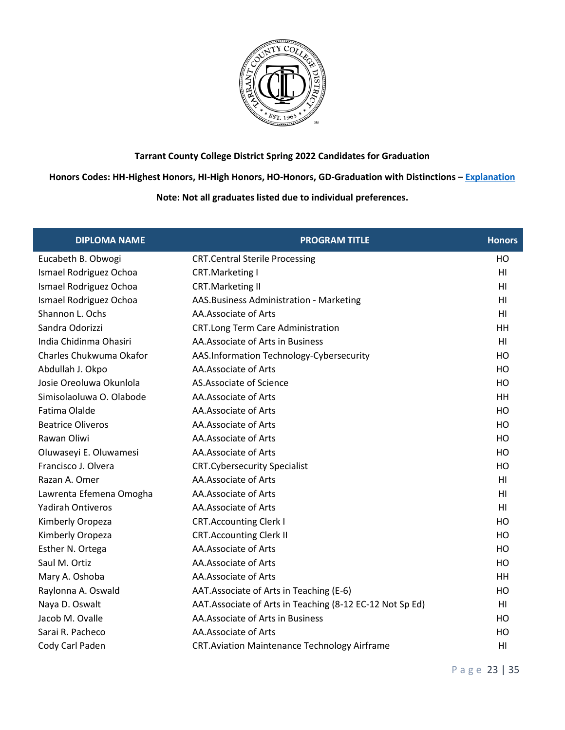

### **Honors Codes: HH-Highest Honors, HI-High Honors, HO-Honors, GD-Graduation with Distinctions – [Explanation](https://www.tccd.edu/academics/graduation/graduates/graduation-honors/)**

| <b>DIPLOMA NAME</b>      | <b>PROGRAM TITLE</b>                                      | <b>Honors</b>  |
|--------------------------|-----------------------------------------------------------|----------------|
| Eucabeth B. Obwogi       | <b>CRT.Central Sterile Processing</b>                     | HO             |
| Ismael Rodriguez Ochoa   | CRT.Marketing I                                           | H <sub>l</sub> |
| Ismael Rodriguez Ochoa   | <b>CRT.Marketing II</b>                                   | H <sub>l</sub> |
| Ismael Rodriguez Ochoa   | AAS. Business Administration - Marketing                  | H <sub>l</sub> |
| Shannon L. Ochs          | AA.Associate of Arts                                      | HI             |
| Sandra Odorizzi          | CRT.Long Term Care Administration                         | HH             |
| India Chidinma Ohasiri   | AA. Associate of Arts in Business                         | H <sub>l</sub> |
| Charles Chukwuma Okafor  | AAS.Information Technology-Cybersecurity                  | HO             |
| Abdullah J. Okpo         | AA.Associate of Arts                                      | HO             |
| Josie Oreoluwa Okunlola  | AS.Associate of Science                                   | HO             |
| Simisolaoluwa O. Olabode | AA.Associate of Arts                                      | HH             |
| Fatima Olalde            | AA.Associate of Arts                                      | HO             |
| <b>Beatrice Oliveros</b> | AA.Associate of Arts                                      | HO             |
| Rawan Oliwi              | AA.Associate of Arts                                      | HO             |
| Oluwaseyi E. Oluwamesi   | AA.Associate of Arts                                      | HO             |
| Francisco J. Olvera      | <b>CRT.Cybersecurity Specialist</b>                       | HO             |
| Razan A. Omer            | AA.Associate of Arts                                      | H <sub>l</sub> |
| Lawrenta Efemena Omogha  | AA.Associate of Arts                                      | HI             |
| <b>Yadirah Ontiveros</b> | AA.Associate of Arts                                      | HI             |
| Kimberly Oropeza         | <b>CRT.Accounting Clerk I</b>                             | HO             |
| Kimberly Oropeza         | <b>CRT.Accounting Clerk II</b>                            | HO             |
| Esther N. Ortega         | AA.Associate of Arts                                      | HO             |
| Saul M. Ortiz            | AA.Associate of Arts                                      | HO             |
| Mary A. Oshoba           | AA.Associate of Arts                                      | HH             |
| Raylonna A. Oswald       | AAT. Associate of Arts in Teaching (E-6)                  | HO             |
| Naya D. Oswalt           | AAT. Associate of Arts in Teaching (8-12 EC-12 Not Sp Ed) | HI             |
| Jacob M. Ovalle          | AA. Associate of Arts in Business                         | HO             |
| Sarai R. Pacheco         | AA.Associate of Arts                                      | HO             |
| Cody Carl Paden          | <b>CRT.Aviation Maintenance Technology Airframe</b>       | H <sub>l</sub> |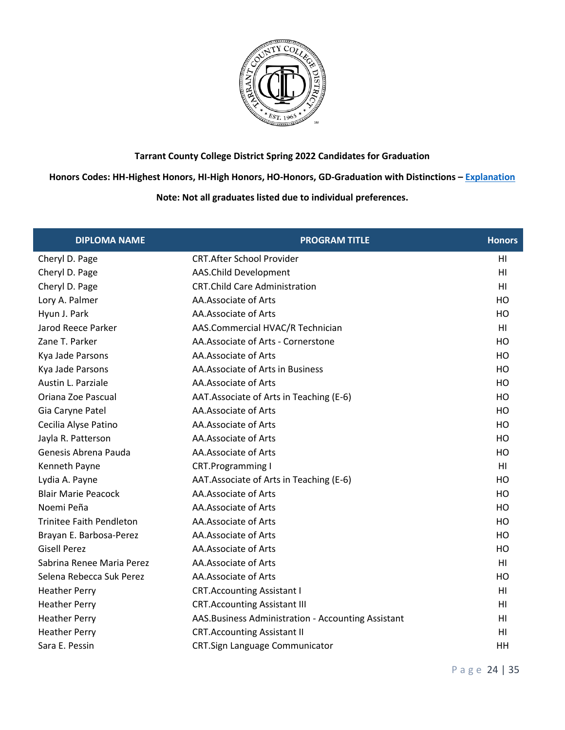

**Honors Codes: HH-Highest Honors, HI-High Honors, HO-Honors, GD-Graduation with Distinctions – [Explanation](https://www.tccd.edu/academics/graduation/graduates/graduation-honors/)**

| <b>DIPLOMA NAME</b>             | <b>PROGRAM TITLE</b>                                | <b>Honors</b>   |
|---------------------------------|-----------------------------------------------------|-----------------|
| Cheryl D. Page                  | <b>CRT.After School Provider</b>                    | HI              |
| Cheryl D. Page                  | AAS.Child Development                               | HI              |
| Cheryl D. Page                  | <b>CRT.Child Care Administration</b>                | HI              |
| Lory A. Palmer                  | AA.Associate of Arts                                | HO              |
| Hyun J. Park                    | AA.Associate of Arts                                | HO              |
| Jarod Reece Parker              | AAS.Commercial HVAC/R Technician                    | HI              |
| Zane T. Parker                  | AA.Associate of Arts - Cornerstone                  | HO              |
| Kya Jade Parsons                | AA.Associate of Arts                                | HO              |
| Kya Jade Parsons                | AA. Associate of Arts in Business                   | HO              |
| Austin L. Parziale              | AA.Associate of Arts                                | HO              |
| Oriana Zoe Pascual              | AAT. Associate of Arts in Teaching (E-6)            | HO              |
| Gia Caryne Patel                | AA.Associate of Arts                                | HO              |
| Cecilia Alyse Patino            | AA.Associate of Arts                                | HO              |
| Jayla R. Patterson              | AA.Associate of Arts                                | HO              |
| Genesis Abrena Pauda            | AA.Associate of Arts                                | HO              |
| Kenneth Payne                   | <b>CRT.Programming I</b>                            | H <sub>II</sub> |
| Lydia A. Payne                  | AAT. Associate of Arts in Teaching (E-6)            | HO              |
| <b>Blair Marie Peacock</b>      | AA.Associate of Arts                                | HO              |
| Noemi Peña                      | AA.Associate of Arts                                | HO              |
| <b>Trinitee Faith Pendleton</b> | AA.Associate of Arts                                | HO              |
| Brayan E. Barbosa-Perez         | AA.Associate of Arts                                | HO              |
| <b>Gisell Perez</b>             | AA.Associate of Arts                                | HO              |
| Sabrina Renee Maria Perez       | AA.Associate of Arts                                | H <sub>l</sub>  |
| Selena Rebecca Suk Perez        | AA.Associate of Arts                                | HO              |
| <b>Heather Perry</b>            | <b>CRT.Accounting Assistant I</b>                   | H <sub>l</sub>  |
| <b>Heather Perry</b>            | <b>CRT.Accounting Assistant III</b>                 | HI              |
| <b>Heather Perry</b>            | AAS. Business Administration - Accounting Assistant | HI              |
| <b>Heather Perry</b>            | <b>CRT.Accounting Assistant II</b>                  | HI              |
| Sara E. Pessin                  | CRT.Sign Language Communicator                      | HH              |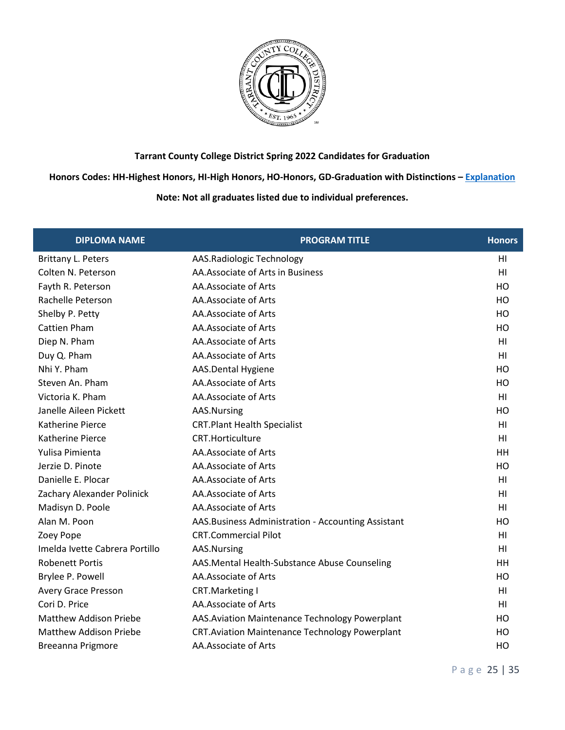

**Honors Codes: HH-Highest Honors, HI-High Honors, HO-Honors, GD-Graduation with Distinctions – [Explanation](https://www.tccd.edu/academics/graduation/graduates/graduation-honors/)**

| <b>DIPLOMA NAME</b>            | <b>PROGRAM TITLE</b>                                  | <b>Honors</b>  |
|--------------------------------|-------------------------------------------------------|----------------|
| <b>Brittany L. Peters</b>      | AAS.Radiologic Technology                             | HI             |
| Colten N. Peterson             | AA.Associate of Arts in Business                      | H <sub>l</sub> |
| Fayth R. Peterson              | AA.Associate of Arts                                  | HO             |
| Rachelle Peterson              | AA.Associate of Arts                                  | HO             |
| Shelby P. Petty                | AA.Associate of Arts                                  | HO             |
| <b>Cattien Pham</b>            | AA.Associate of Arts                                  | HO             |
| Diep N. Pham                   | AA.Associate of Arts                                  | H <sub>l</sub> |
| Duy Q. Pham                    | AA.Associate of Arts                                  | HI             |
| Nhi Y. Pham                    | AAS.Dental Hygiene                                    | HO             |
| Steven An. Pham                | AA.Associate of Arts                                  | HO             |
| Victoria K. Pham               | AA.Associate of Arts                                  | HI             |
| Janelle Aileen Pickett         | AAS.Nursing                                           | HO             |
| <b>Katherine Pierce</b>        | <b>CRT.Plant Health Specialist</b>                    | HI             |
| <b>Katherine Pierce</b>        | <b>CRT.Horticulture</b>                               | HI             |
| Yulisa Pimienta                | AA.Associate of Arts                                  | HH             |
| Jerzie D. Pinote               | AA.Associate of Arts                                  | HO             |
| Danielle E. Plocar             | AA.Associate of Arts                                  | H1             |
| Zachary Alexander Polinick     | AA.Associate of Arts                                  | HI             |
| Madisyn D. Poole               | AA.Associate of Arts                                  | H <sub>l</sub> |
| Alan M. Poon                   | AAS. Business Administration - Accounting Assistant   | HO             |
| Zoey Pope                      | <b>CRT.Commercial Pilot</b>                           | H <sub>l</sub> |
| Imelda Ivette Cabrera Portillo | AAS.Nursing                                           | H1             |
| <b>Robenett Portis</b>         | AAS.Mental Health-Substance Abuse Counseling          | HH             |
| Brylee P. Powell               | AA.Associate of Arts                                  | HO             |
| Avery Grace Presson            | <b>CRT.Marketing I</b>                                | HI             |
| Cori D. Price                  | AA.Associate of Arts                                  | HI             |
| <b>Matthew Addison Priebe</b>  | AAS. Aviation Maintenance Technology Powerplant       | HO             |
| Matthew Addison Priebe         | <b>CRT.Aviation Maintenance Technology Powerplant</b> | HO             |
| <b>Breeanna Prigmore</b>       | AA.Associate of Arts                                  | HO             |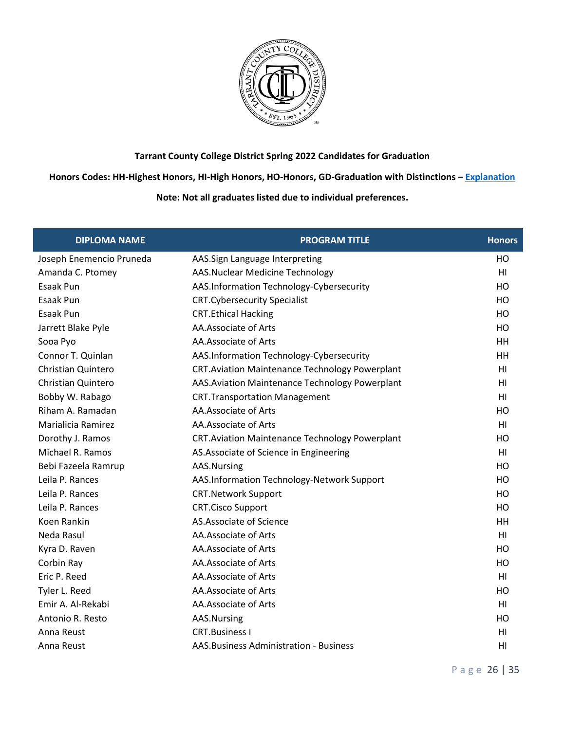

**Honors Codes: HH-Highest Honors, HI-High Honors, HO-Honors, GD-Graduation with Distinctions – [Explanation](https://www.tccd.edu/academics/graduation/graduates/graduation-honors/)**

| <b>DIPLOMA NAME</b>       | <b>PROGRAM TITLE</b>                                   | <b>Honors</b>  |
|---------------------------|--------------------------------------------------------|----------------|
| Joseph Enemencio Pruneda  | AAS.Sign Language Interpreting                         | HO             |
| Amanda C. Ptomey          | AAS.Nuclear Medicine Technology                        | HI             |
| Esaak Pun                 | AAS.Information Technology-Cybersecurity               | H <sub>O</sub> |
| Esaak Pun                 | <b>CRT.Cybersecurity Specialist</b>                    | HO             |
| <b>Esaak Pun</b>          | <b>CRT.Ethical Hacking</b>                             | HO             |
| Jarrett Blake Pyle        | AA.Associate of Arts                                   | HO             |
| Sooa Pyo                  | AA.Associate of Arts                                   | HH             |
| Connor T. Quinlan         | AAS.Information Technology-Cybersecurity               | HH             |
| Christian Quintero        | <b>CRT.Aviation Maintenance Technology Powerplant</b>  | HI             |
| <b>Christian Quintero</b> | AAS. Aviation Maintenance Technology Powerplant        | HI             |
| Bobby W. Rabago           | <b>CRT.Transportation Management</b>                   | HI             |
| Riham A. Ramadan          | AA.Associate of Arts                                   | HO             |
| Marialicia Ramirez        | AA.Associate of Arts                                   | HI             |
| Dorothy J. Ramos          | <b>CRT. Aviation Maintenance Technology Powerplant</b> | HO             |
| Michael R. Ramos          | AS.Associate of Science in Engineering                 | H <sub>l</sub> |
| Bebi Fazeela Ramrup       | AAS.Nursing                                            | HO             |
| Leila P. Rances           | AAS.Information Technology-Network Support             | HO             |
| Leila P. Rances           | <b>CRT.Network Support</b>                             | HO             |
| Leila P. Rances           | <b>CRT.Cisco Support</b>                               | HO             |
| Koen Rankin               | AS.Associate of Science                                | HH             |
| Neda Rasul                | AA.Associate of Arts                                   | H <sub>l</sub> |
| Kyra D. Raven             | AA.Associate of Arts                                   | HO             |
| Corbin Ray                | AA.Associate of Arts                                   | HO             |
| Eric P. Reed              | AA.Associate of Arts                                   | HI             |
| Tyler L. Reed             | AA.Associate of Arts                                   | HO             |
| Emir A. Al-Rekabi         | AA.Associate of Arts                                   | HI             |
| Antonio R. Resto          | AAS.Nursing                                            | HO             |
| Anna Reust                | <b>CRT.Business I</b>                                  | HI             |
| Anna Reust                | AAS. Business Administration - Business                | HI             |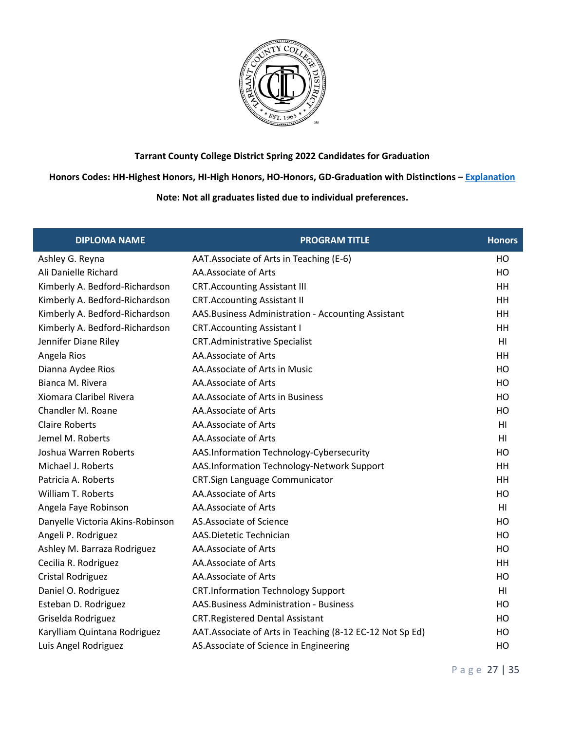

**Honors Codes: HH-Highest Honors, HI-High Honors, HO-Honors, GD-Graduation with Distinctions – [Explanation](https://www.tccd.edu/academics/graduation/graduates/graduation-honors/)**

| <b>DIPLOMA NAME</b>              | <b>PROGRAM TITLE</b>                                      | <b>Honors</b>   |
|----------------------------------|-----------------------------------------------------------|-----------------|
| Ashley G. Reyna                  | AAT. Associate of Arts in Teaching (E-6)                  | HO              |
| Ali Danielle Richard             | AA.Associate of Arts                                      | HO              |
| Kimberly A. Bedford-Richardson   | <b>CRT.Accounting Assistant III</b>                       | HH              |
| Kimberly A. Bedford-Richardson   | <b>CRT.Accounting Assistant II</b>                        | HH              |
| Kimberly A. Bedford-Richardson   | AAS. Business Administration - Accounting Assistant       | HH              |
| Kimberly A. Bedford-Richardson   | <b>CRT.Accounting Assistant I</b>                         | HH              |
| Jennifer Diane Riley             | <b>CRT.Administrative Specialist</b>                      | H <sub>l</sub>  |
| Angela Rios                      | AA.Associate of Arts                                      | HH              |
| Dianna Aydee Rios                | AA.Associate of Arts in Music                             | HO              |
| Bianca M. Rivera                 | AA.Associate of Arts                                      | H <sub>O</sub>  |
| Xiomara Claribel Rivera          | AA. Associate of Arts in Business                         | HO              |
| Chandler M. Roane                | AA.Associate of Arts                                      | HO              |
| <b>Claire Roberts</b>            | AA.Associate of Arts                                      | HI              |
| Jemel M. Roberts                 | AA.Associate of Arts                                      | HI              |
| Joshua Warren Roberts            | AAS.Information Technology-Cybersecurity                  | HO              |
| Michael J. Roberts               | AAS.Information Technology-Network Support                | HH              |
| Patricia A. Roberts              | CRT.Sign Language Communicator                            | HH              |
| William T. Roberts               | AA.Associate of Arts                                      | HO              |
| Angela Faye Robinson             | AA.Associate of Arts                                      | H <sub>l</sub>  |
| Danyelle Victoria Akins-Robinson | AS.Associate of Science                                   | HO              |
| Angeli P. Rodriguez              | AAS.Dietetic Technician                                   | HO              |
| Ashley M. Barraza Rodriguez      | AA.Associate of Arts                                      | HO              |
| Cecilia R. Rodriguez             | AA.Associate of Arts                                      | HH              |
| <b>Cristal Rodriguez</b>         | AA.Associate of Arts                                      | HO              |
| Daniel O. Rodriguez              | <b>CRT.Information Technology Support</b>                 | H <sub>II</sub> |
| Esteban D. Rodriguez             | AAS. Business Administration - Business                   | HO              |
| Griselda Rodriguez               | <b>CRT.Registered Dental Assistant</b>                    | HO              |
| Karylliam Quintana Rodriguez     | AAT. Associate of Arts in Teaching (8-12 EC-12 Not Sp Ed) | HO              |
| Luis Angel Rodriguez             | AS. Associate of Science in Engineering                   | HO              |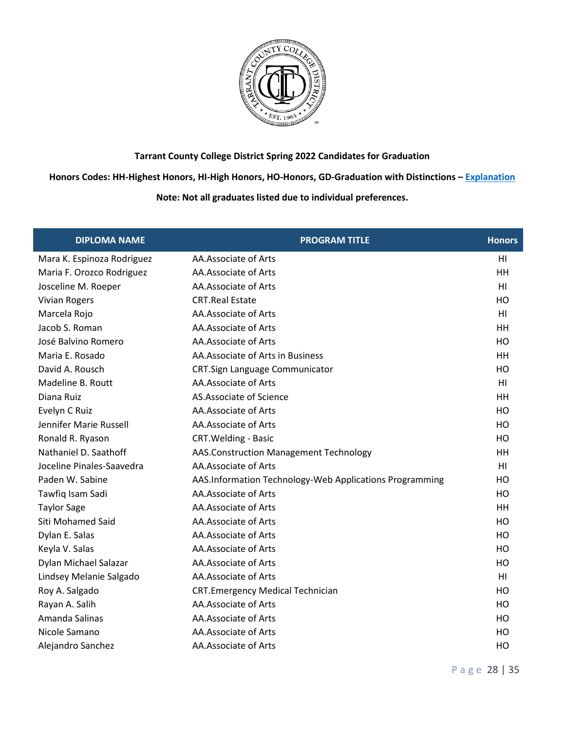

**Honors Codes: HH-Highest Honors, HI-High Honors, HO-Honors, GD-Graduation with Distinctions – [Explanation](https://www.tccd.edu/academics/graduation/graduates/graduation-honors/)**

| <b>DIPLOMA NAME</b>        | <b>PROGRAM TITLE</b>                                    | <b>Honors</b>  |
|----------------------------|---------------------------------------------------------|----------------|
| Mara K. Espinoza Rodriguez | AA.Associate of Arts                                    | H <sub>l</sub> |
| Maria F. Orozco Rodriguez  | AA.Associate of Arts                                    | HH             |
| Josceline M. Roeper        | AA.Associate of Arts                                    | H <sub>l</sub> |
| <b>Vivian Rogers</b>       | <b>CRT.Real Estate</b>                                  | HO             |
| Marcela Rojo               | AA.Associate of Arts                                    | H <sub>l</sub> |
| Jacob S. Roman             | AA.Associate of Arts                                    | HH             |
| José Balvino Romero        | AA.Associate of Arts                                    | HO             |
| Maria E. Rosado            | AA. Associate of Arts in Business                       | <b>HH</b>      |
| David A. Rousch            | CRT.Sign Language Communicator                          | HO             |
| Madeline B. Routt          | AA.Associate of Arts                                    | H <sub>l</sub> |
| Diana Ruiz                 | AS.Associate of Science                                 | <b>HH</b>      |
| Evelyn C Ruiz              | AA.Associate of Arts                                    | HO             |
| Jennifer Marie Russell     | AA.Associate of Arts                                    | HO             |
| Ronald R. Ryason           | CRT. Welding - Basic                                    | HO             |
| Nathaniel D. Saathoff      | AAS.Construction Management Technology                  | <b>HH</b>      |
| Joceline Pinales-Saavedra  | AA.Associate of Arts                                    | H <sub>l</sub> |
| Paden W. Sabine            | AAS.Information Technology-Web Applications Programming | HO             |
| Tawfiq Isam Sadi           | AA.Associate of Arts                                    | HO             |
| <b>Taylor Sage</b>         | AA.Associate of Arts                                    | <b>HH</b>      |
| Siti Mohamed Said          | AA.Associate of Arts                                    | HO             |
| Dylan E. Salas             | AA.Associate of Arts                                    | HO             |
| Keyla V. Salas             | AA.Associate of Arts                                    | HO             |
| Dylan Michael Salazar      | AA.Associate of Arts                                    | HO             |
| Lindsey Melanie Salgado    | AA.Associate of Arts                                    | H <sub>l</sub> |
| Roy A. Salgado             | <b>CRT.Emergency Medical Technician</b>                 | HO             |
| Rayan A. Salih             | AA.Associate of Arts                                    | HO             |
| Amanda Salinas             | AA.Associate of Arts                                    | HO             |
| Nicole Samano              | AA.Associate of Arts                                    | HO             |
| Alejandro Sanchez          | AA.Associate of Arts                                    | HO             |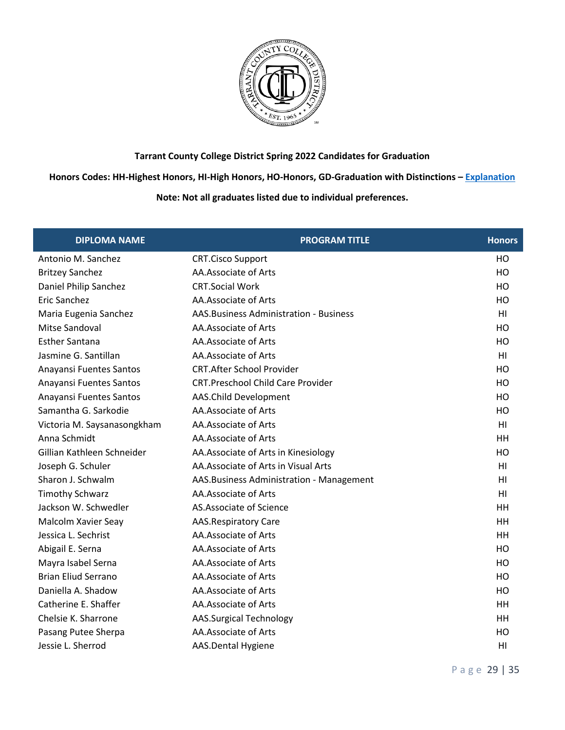

**Honors Codes: HH-Highest Honors, HI-High Honors, HO-Honors, GD-Graduation with Distinctions – [Explanation](https://www.tccd.edu/academics/graduation/graduates/graduation-honors/)**

# **Note: Not all graduates listed due to individual preferences.**

| <b>DIPLOMA NAME</b>         | <b>PROGRAM TITLE</b>                      | <b>Honors</b>   |
|-----------------------------|-------------------------------------------|-----------------|
| Antonio M. Sanchez          | <b>CRT.Cisco Support</b>                  | HO              |
| <b>Britzey Sanchez</b>      | AA.Associate of Arts                      | HO              |
| Daniel Philip Sanchez       | <b>CRT.Social Work</b>                    | HO              |
| <b>Eric Sanchez</b>         | AA.Associate of Arts                      | HO              |
| Maria Eugenia Sanchez       | AAS. Business Administration - Business   | H <sub>II</sub> |
| Mitse Sandoval              | AA.Associate of Arts                      | HO              |
| <b>Esther Santana</b>       | AA.Associate of Arts                      | HO              |
| Jasmine G. Santillan        | AA.Associate of Arts                      | H <sub>l</sub>  |
| Anayansi Fuentes Santos     | <b>CRT.After School Provider</b>          | HO              |
| Anayansi Fuentes Santos     | <b>CRT.Preschool Child Care Provider</b>  | HO              |
| Anayansi Fuentes Santos     | AAS.Child Development                     | HO              |
| Samantha G. Sarkodie        | AA.Associate of Arts                      | HO              |
| Victoria M. Saysanasongkham | AA.Associate of Arts                      | H <sub>l</sub>  |
| Anna Schmidt                | AA.Associate of Arts                      | HH              |
| Gillian Kathleen Schneider  | AA. Associate of Arts in Kinesiology      | HO              |
| Joseph G. Schuler           | AA. Associate of Arts in Visual Arts      | HI              |
| Sharon J. Schwalm           | AAS. Business Administration - Management | HI              |
| <b>Timothy Schwarz</b>      | AA.Associate of Arts                      | H1              |
| Jackson W. Schwedler        | AS.Associate of Science                   | HH              |
| Malcolm Xavier Seay         | <b>AAS.Respiratory Care</b>               | HH              |
| Jessica L. Sechrist         | AA.Associate of Arts                      | HH              |
| Abigail E. Serna            | AA.Associate of Arts                      | HO              |
| Mayra Isabel Serna          | AA.Associate of Arts                      | H <sub>O</sub>  |
| <b>Brian Eliud Serrano</b>  | AA.Associate of Arts                      | HO              |
| Daniella A. Shadow          | AA.Associate of Arts                      | HO              |
| Catherine E. Shaffer        | AA.Associate of Arts                      | HH              |
| Chelsie K. Sharrone         | <b>AAS.Surgical Technology</b>            | HH              |
| Pasang Putee Sherpa         | AA.Associate of Arts                      | HO              |
| Jessie L. Sherrod           | AAS.Dental Hygiene                        | HI              |

P a g e 29 | 35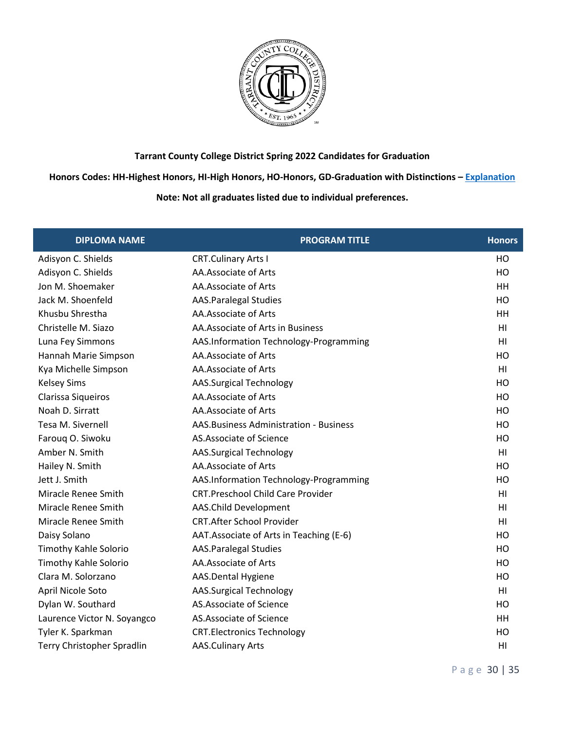

**Honors Codes: HH-Highest Honors, HI-High Honors, HO-Honors, GD-Graduation with Distinctions – [Explanation](https://www.tccd.edu/academics/graduation/graduates/graduation-honors/)**

# **Note: Not all graduates listed due to individual preferences.**

| <b>DIPLOMA NAME</b>         | <b>PROGRAM TITLE</b>                     | <b>Honors</b>  |
|-----------------------------|------------------------------------------|----------------|
| Adisyon C. Shields          | <b>CRT.Culinary Arts I</b>               | HO             |
| Adisyon C. Shields          | AA.Associate of Arts                     | HO             |
| Jon M. Shoemaker            | AA.Associate of Arts                     | HH             |
| Jack M. Shoenfeld           | <b>AAS.Paralegal Studies</b>             | HO             |
| Khusbu Shrestha             | AA.Associate of Arts                     | HH             |
| Christelle M. Siazo         | AA.Associate of Arts in Business         | H1             |
| Luna Fey Simmons            | AAS.Information Technology-Programming   | H <sub>l</sub> |
| Hannah Marie Simpson        | AA.Associate of Arts                     | HO             |
| Kya Michelle Simpson        | AA.Associate of Arts                     | H1             |
| <b>Kelsey Sims</b>          | <b>AAS.Surgical Technology</b>           | HO             |
| Clarissa Siqueiros          | AA.Associate of Arts                     | HO             |
| Noah D. Sirratt             | AA.Associate of Arts                     | HO             |
| Tesa M. Sivernell           | AAS. Business Administration - Business  | HO             |
| Faroug O. Siwoku            | AS.Associate of Science                  | HO             |
| Amber N. Smith              | <b>AAS.Surgical Technology</b>           | HI             |
| Hailey N. Smith             | AA.Associate of Arts                     | HO             |
| Jett J. Smith               | AAS.Information Technology-Programming   | HO             |
| Miracle Renee Smith         | <b>CRT.Preschool Child Care Provider</b> | H <sub>l</sub> |
| Miracle Renee Smith         | AAS.Child Development                    | HI             |
| Miracle Renee Smith         | <b>CRT.After School Provider</b>         | H1             |
| Daisy Solano                | AAT. Associate of Arts in Teaching (E-6) | HO             |
| Timothy Kahle Solorio       | <b>AAS.Paralegal Studies</b>             | HO             |
| Timothy Kahle Solorio       | AA.Associate of Arts                     | HO             |
| Clara M. Solorzano          | AAS.Dental Hygiene                       | HO             |
| April Nicole Soto           | <b>AAS.Surgical Technology</b>           | HI             |
| Dylan W. Southard           | AS.Associate of Science                  | HO             |
| Laurence Victor N. Soyangco | AS.Associate of Science                  | HH             |
| Tyler K. Sparkman           | <b>CRT.Electronics Technology</b>        | HO             |
| Terry Christopher Spradlin  | <b>AAS.Culinary Arts</b>                 | H <sub>l</sub> |

P a g e 30 | 35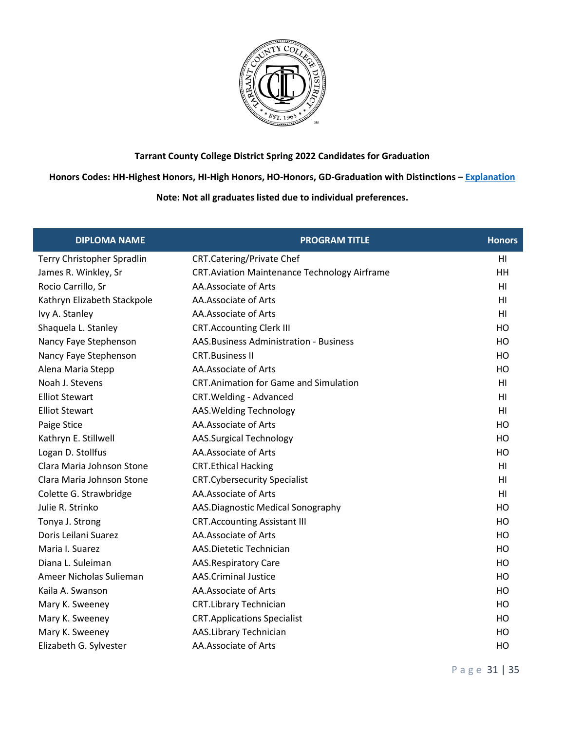

### **Honors Codes: HH-Highest Honors, HI-High Honors, HO-Honors, GD-Graduation with Distinctions – [Explanation](https://www.tccd.edu/academics/graduation/graduates/graduation-honors/)**

| <b>DIPLOMA NAME</b>         | <b>PROGRAM TITLE</b>                                | <b>Honors</b>  |
|-----------------------------|-----------------------------------------------------|----------------|
| Terry Christopher Spradlin  | <b>CRT.Catering/Private Chef</b>                    | HI             |
| James R. Winkley, Sr        | <b>CRT.Aviation Maintenance Technology Airframe</b> | HH             |
| Rocio Carrillo, Sr          | AA.Associate of Arts                                | H <sub>l</sub> |
| Kathryn Elizabeth Stackpole | AA.Associate of Arts                                | HI             |
| Ivy A. Stanley              | AA.Associate of Arts                                | H1             |
| Shaquela L. Stanley         | <b>CRT.Accounting Clerk III</b>                     | HO             |
| Nancy Faye Stephenson       | AAS. Business Administration - Business             | HO             |
| Nancy Faye Stephenson       | <b>CRT.Business II</b>                              | HO             |
| Alena Maria Stepp           | AA.Associate of Arts                                | HO             |
| Noah J. Stevens             | <b>CRT.Animation for Game and Simulation</b>        | HI             |
| <b>Elliot Stewart</b>       | CRT. Welding - Advanced                             | HI             |
| <b>Elliot Stewart</b>       | AAS. Welding Technology                             | H <sub>l</sub> |
| Paige Stice                 | AA.Associate of Arts                                | HO             |
| Kathryn E. Stillwell        | <b>AAS.Surgical Technology</b>                      | HO             |
| Logan D. Stollfus           | AA.Associate of Arts                                | HO             |
| Clara Maria Johnson Stone   | <b>CRT.Ethical Hacking</b>                          | H <sub>l</sub> |
| Clara Maria Johnson Stone   | <b>CRT.Cybersecurity Specialist</b>                 | H1             |
| Colette G. Strawbridge      | AA.Associate of Arts                                | H <sub>l</sub> |
| Julie R. Strinko            | AAS.Diagnostic Medical Sonography                   | HO             |
| Tonya J. Strong             | <b>CRT.Accounting Assistant III</b>                 | HO             |
| Doris Leilani Suarez        | AA.Associate of Arts                                | HO             |
| Maria I. Suarez             | AAS.Dietetic Technician                             | HO             |
| Diana L. Suleiman           | <b>AAS.Respiratory Care</b>                         | HO             |
| Ameer Nicholas Sulieman     | <b>AAS.Criminal Justice</b>                         | HO             |
| Kaila A. Swanson            | AA.Associate of Arts                                | HO             |
| Mary K. Sweeney             | <b>CRT.Library Technician</b>                       | HO             |
| Mary K. Sweeney             | <b>CRT.Applications Specialist</b>                  | HO             |
| Mary K. Sweeney             | AAS.Library Technician                              | HO             |
| Elizabeth G. Sylvester      | AA.Associate of Arts                                | HO             |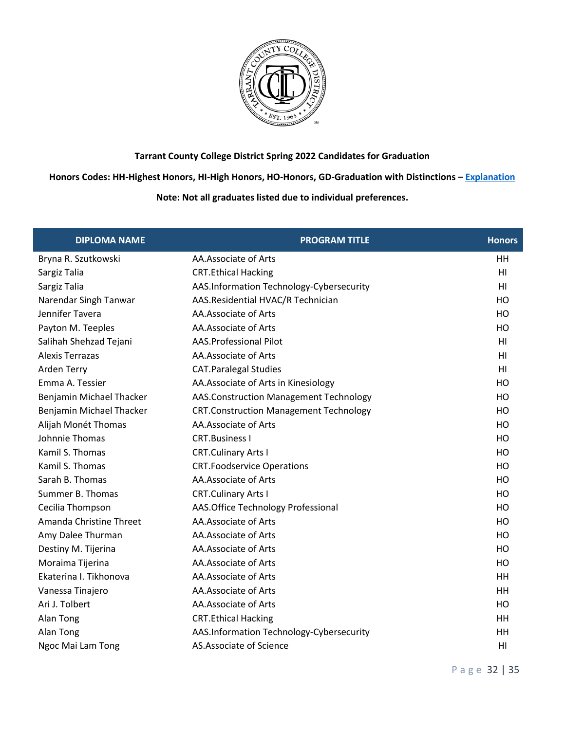

**Honors Codes: HH-Highest Honors, HI-High Honors, HO-Honors, GD-Graduation with Distinctions – [Explanation](https://www.tccd.edu/academics/graduation/graduates/graduation-honors/)**

| <b>DIPLOMA NAME</b>      | <b>PROGRAM TITLE</b>                          | <b>Honors</b>  |
|--------------------------|-----------------------------------------------|----------------|
| Bryna R. Szutkowski      | AA.Associate of Arts                          | HH             |
| Sargiz Talia             | <b>CRT.Ethical Hacking</b>                    | H <sub>l</sub> |
| Sargiz Talia             | AAS.Information Technology-Cybersecurity      | H <sub>l</sub> |
| Narendar Singh Tanwar    | AAS.Residential HVAC/R Technician             | HO             |
| Jennifer Tavera          | AA.Associate of Arts                          | HO             |
| Payton M. Teeples        | AA.Associate of Arts                          | HO             |
| Salihah Shehzad Tejani   | AAS.Professional Pilot                        | H <sub>l</sub> |
| <b>Alexis Terrazas</b>   | AA.Associate of Arts                          | H <sub>l</sub> |
| Arden Terry              | <b>CAT.Paralegal Studies</b>                  | H <sub>l</sub> |
| Emma A. Tessier          | AA. Associate of Arts in Kinesiology          | HO             |
| Benjamin Michael Thacker | AAS.Construction Management Technology        | HO             |
| Benjamin Michael Thacker | <b>CRT.Construction Management Technology</b> | HO             |
| Alijah Monét Thomas      | AA.Associate of Arts                          | HO             |
| Johnnie Thomas           | <b>CRT.Business I</b>                         | HO             |
| Kamil S. Thomas          | <b>CRT.Culinary Arts I</b>                    | HO             |
| Kamil S. Thomas          | <b>CRT.Foodservice Operations</b>             | HO             |
| Sarah B. Thomas          | AA.Associate of Arts                          | HO             |
| Summer B. Thomas         | <b>CRT.Culinary Arts I</b>                    | HO             |
| Cecilia Thompson         | AAS.Office Technology Professional            | HO             |
| Amanda Christine Threet  | AA.Associate of Arts                          | HO             |
| Amy Dalee Thurman        | AA.Associate of Arts                          | HO             |
| Destiny M. Tijerina      | AA.Associate of Arts                          | HO             |
| Moraima Tijerina         | AA.Associate of Arts                          | HO             |
| Ekaterina I. Tikhonova   | AA.Associate of Arts                          | HH             |
| Vanessa Tinajero         | AA.Associate of Arts                          | <b>HH</b>      |
| Ari J. Tolbert           | AA.Associate of Arts                          | HO             |
| Alan Tong                | <b>CRT.Ethical Hacking</b>                    | <b>HH</b>      |
| Alan Tong                | AAS.Information Technology-Cybersecurity      | HH             |
| Ngoc Mai Lam Tong        | AS.Associate of Science                       | H <sub>l</sub> |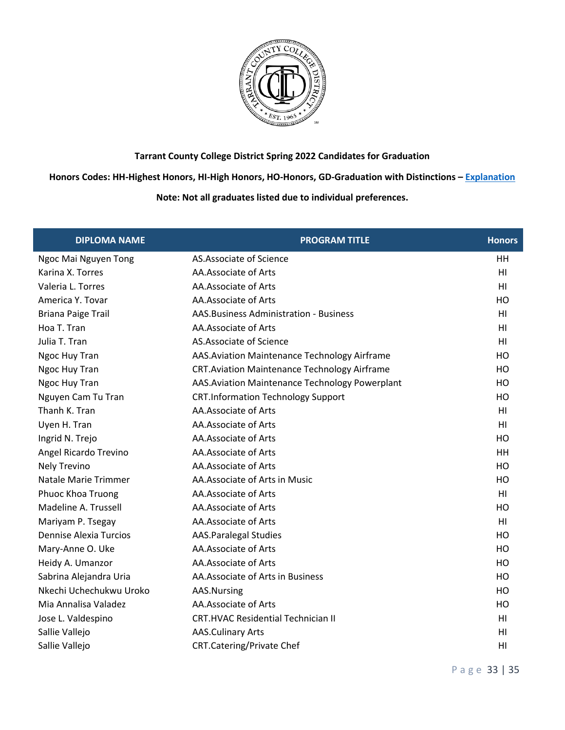

**Honors Codes: HH-Highest Honors, HI-High Honors, HO-Honors, GD-Graduation with Distinctions – [Explanation](https://www.tccd.edu/academics/graduation/graduates/graduation-honors/)**

| <b>DIPLOMA NAME</b>           | <b>PROGRAM TITLE</b>                                | <b>Honors</b>  |
|-------------------------------|-----------------------------------------------------|----------------|
| Ngoc Mai Nguyen Tong          | AS.Associate of Science                             | HH             |
| Karina X. Torres              | AA.Associate of Arts                                | H <sub>l</sub> |
| Valeria L. Torres             | AA.Associate of Arts                                | HI             |
| America Y. Tovar              | AA.Associate of Arts                                | HO             |
| <b>Briana Paige Trail</b>     | <b>AAS. Business Administration - Business</b>      | HI             |
| Hoa T. Tran                   | AA.Associate of Arts                                | HI             |
| Julia T. Tran                 | AS.Associate of Science                             | HI             |
| Ngoc Huy Tran                 | AAS. Aviation Maintenance Technology Airframe       | HO             |
| Ngoc Huy Tran                 | <b>CRT.Aviation Maintenance Technology Airframe</b> | HO             |
| Ngoc Huy Tran                 | AAS. Aviation Maintenance Technology Powerplant     | H <sub>O</sub> |
| Nguyen Cam Tu Tran            | <b>CRT.Information Technology Support</b>           | HO             |
| Thanh K. Tran                 | AA.Associate of Arts                                | HI             |
| Uyen H. Tran                  | AA.Associate of Arts                                | HI             |
| Ingrid N. Trejo               | AA.Associate of Arts                                | HO             |
| Angel Ricardo Trevino         | AA.Associate of Arts                                | HH             |
| Nely Trevino                  | AA.Associate of Arts                                | HO             |
| Natale Marie Trimmer          | AA.Associate of Arts in Music                       | HO             |
| Phuoc Khoa Truong             | AA.Associate of Arts                                | H <sub>l</sub> |
| Madeline A. Trussell          | AA.Associate of Arts                                | HO             |
| Mariyam P. Tsegay             | AA.Associate of Arts                                | H <sub>l</sub> |
| <b>Dennise Alexia Turcios</b> | <b>AAS.Paralegal Studies</b>                        | HO             |
| Mary-Anne O. Uke              | AA.Associate of Arts                                | HO             |
| Heidy A. Umanzor              | AA.Associate of Arts                                | HO             |
| Sabrina Alejandra Uria        | AA. Associate of Arts in Business                   | HO             |
| Nkechi Uchechukwu Uroko       | AAS.Nursing                                         | HO             |
| Mia Annalisa Valadez          | AA.Associate of Arts                                | HO             |
| Jose L. Valdespino            | <b>CRT.HVAC Residential Technician II</b>           | H1             |
| Sallie Vallejo                | <b>AAS.Culinary Arts</b>                            | HI             |
| Sallie Vallejo                | <b>CRT.Catering/Private Chef</b>                    | HI             |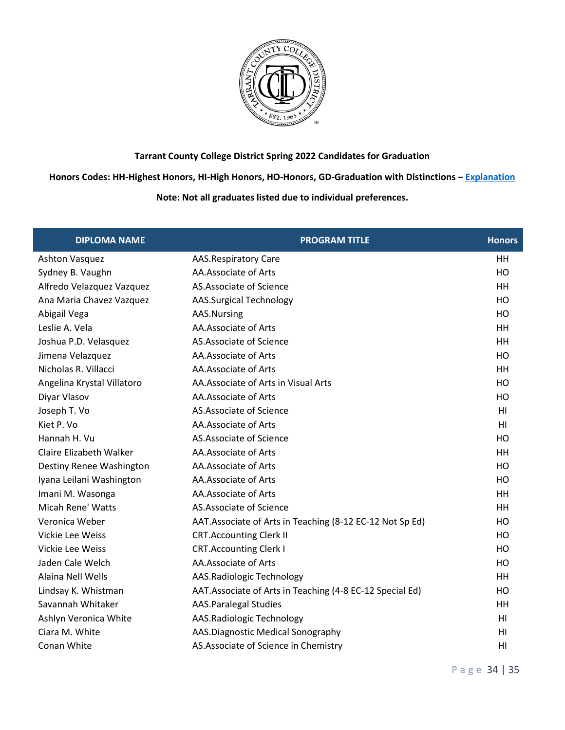

**Honors Codes: HH-Highest Honors, HI-High Honors, HO-Honors, GD-Graduation with Distinctions – [Explanation](https://www.tccd.edu/academics/graduation/graduates/graduation-honors/)**

| <b>DIPLOMA NAME</b>            | <b>PROGRAM TITLE</b>                                      | <b>Honors</b>  |
|--------------------------------|-----------------------------------------------------------|----------------|
| <b>Ashton Vasquez</b>          | <b>AAS.Respiratory Care</b>                               | HH             |
| Sydney B. Vaughn               | AA.Associate of Arts                                      | HO             |
| Alfredo Velazquez Vazquez      | AS.Associate of Science                                   | HH             |
| Ana Maria Chavez Vazquez       | <b>AAS.Surgical Technology</b>                            | HO             |
| Abigail Vega                   | AAS.Nursing                                               | HO             |
| Leslie A. Vela                 | AA.Associate of Arts                                      | HH             |
| Joshua P.D. Velasquez          | AS.Associate of Science                                   | <b>HH</b>      |
| Jimena Velazquez               | AA.Associate of Arts                                      | HO             |
| Nicholas R. Villacci           | AA.Associate of Arts                                      | HH             |
| Angelina Krystal Villatoro     | AA. Associate of Arts in Visual Arts                      | H <sub>O</sub> |
| Diyar Vlasov                   | AA.Associate of Arts                                      | HO             |
| Joseph T. Vo                   | AS.Associate of Science                                   | H <sub>l</sub> |
| Kiet P. Vo                     | AA.Associate of Arts                                      | HI             |
| Hannah H. Vu                   | AS.Associate of Science                                   | HO             |
| <b>Claire Elizabeth Walker</b> | AA.Associate of Arts                                      | HH             |
| Destiny Renee Washington       | AA.Associate of Arts                                      | HO             |
| Iyana Leilani Washington       | AA.Associate of Arts                                      | HO             |
| Imani M. Wasonga               | AA.Associate of Arts                                      | HH             |
| Micah Rene' Watts              | AS.Associate of Science                                   | HH             |
| Veronica Weber                 | AAT.Associate of Arts in Teaching (8-12 EC-12 Not Sp Ed)  | HO             |
| <b>Vickie Lee Weiss</b>        | <b>CRT.Accounting Clerk II</b>                            | HO             |
| <b>Vickie Lee Weiss</b>        | <b>CRT.Accounting Clerk I</b>                             | HO             |
| Jaden Cale Welch               | AA.Associate of Arts                                      | HO             |
| Alaina Nell Wells              | AAS.Radiologic Technology                                 | HH             |
| Lindsay K. Whistman            | AAT. Associate of Arts in Teaching (4-8 EC-12 Special Ed) | HO             |
| Savannah Whitaker              | <b>AAS.Paralegal Studies</b>                              | HH             |
| Ashlyn Veronica White          | AAS.Radiologic Technology                                 | HI             |
| Ciara M. White                 | AAS.Diagnostic Medical Sonography                         | HI             |
| Conan White                    | AS. Associate of Science in Chemistry                     | HI             |